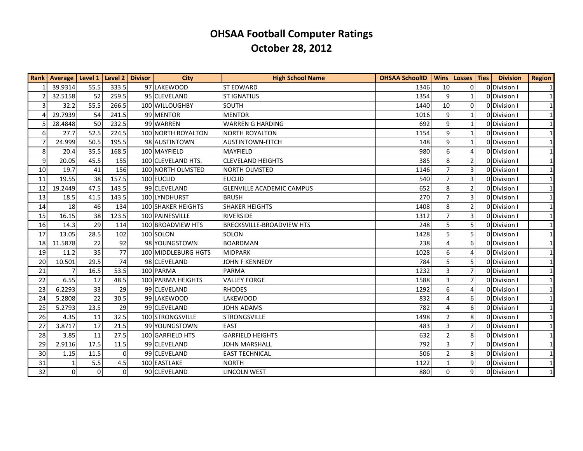| <b>Rank</b>     | Average   Level 1 |      | Level 2   Divisor | <b>City</b>               | <b>High School Name</b>          | <b>OHSAA SchoolID</b> | <b>Wins</b>           | Losses Ties              | <b>Division</b> | <b>Region</b> |
|-----------------|-------------------|------|-------------------|---------------------------|----------------------------------|-----------------------|-----------------------|--------------------------|-----------------|---------------|
|                 | 39.9314           | 55.5 | 333.5             | 97 LAKEWOOD               | <b>ST EDWARD</b>                 | 1346                  | 10                    | U                        | ODivision I     | $\vert$ 1     |
| $\overline{2}$  | 32.5158           | 52   | 259.5             | 95 CLEVELAND              | <b>ST IGNATIUS</b>               | 1354                  | 9                     |                          | 0 Division I    | $\mathbf{1}$  |
| 3               | 32.2              | 55.5 | 266.5             | 100 WILLOUGHBY            | <b>SOUTH</b>                     | 1440                  | 10                    | $\Omega$                 | 0 Division I    | $\mathbf{1}$  |
| $\Delta$        | 29.7939           | 54   | 241.5             | 99 MENTOR                 | <b>MENTOR</b>                    | 1016                  | 9                     |                          | 0 Division I    | $\mathbf{1}$  |
| 5               | 28.4848           | 50   | 232.5             | 99 WARREN                 | <b>WARREN G HARDING</b>          | 692                   | 9                     | 1                        | ODIvision I     | $\mathbf{1}$  |
| $6 \mid$        | 27.7              | 52.5 | 224.5             | 100 NORTH ROYALTON        | <b>NORTH ROYALTON</b>            | 1154                  | 9                     |                          | 0 Division I    | 1             |
| $\overline{7}$  | 24.999            | 50.5 | 195.5             | 98 AUSTINTOWN             | <b>AUSTINTOWN-FITCH</b>          | 148                   | 9                     | 1                        | 0Division I     | $\mathbf{1}$  |
| 8               | 20.4              | 35.5 | 168.5             | 100 MAYFIELD              | <b>MAYFIELD</b>                  | 980                   | 6                     | 4                        | 0 Division I    | $\vert$ 1     |
| 9               | 20.05             | 45.5 | 155               | 100 CLEVELAND HTS.        | <b>CLEVELAND HEIGHTS</b>         | 385                   | 8                     | $\overline{\phantom{a}}$ | 0 Division I    | $\mathbf{1}$  |
| 10              | 19.7              | 41   | 156               | 100 NORTH OLMSTED         | NORTH OLMSTED                    | 1146                  | $\overline{7}$        | 3                        | 0 Division I    |               |
| 11              | 19.55             | 38   | 157.5             | 100 EUCLID                | <b>EUCLID</b>                    | 540                   | $\overline{7}$        | 3                        | ODIvision I     | $\mathbf{1}$  |
| 12              | 19.2449           | 47.5 | 143.5             | 99 CLEVELAND              | <b>GLENVILLE ACADEMIC CAMPUS</b> | 652                   | 8                     | $\overline{2}$           | 0 Division I    | $\mathbf{1}$  |
| 13              | 18.5              | 41.5 | 143.5             | 100 LYNDHURST             | <b>BRUSH</b>                     | 270                   | $\overline{7}$        | 3                        | 0 Division I    | $\mathbf{1}$  |
| 14              | 18                | 46   | 134               | <b>100 SHAKER HEIGHTS</b> | <b>SHAKER HEIGHTS</b>            | 1408                  | 8                     | $\overline{2}$           | O Division I    | 1             |
| 15              | 16.15             | 38   | 123.5             | 100 PAINESVILLE           | <b>RIVERSIDE</b>                 | 1312                  | $\overline{7}$        | 3                        | 0 Division I    | $\mathbf{1}$  |
| 16              | 14.3              | 29   | 114               | 100 BROADVIEW HTS         | <b>BRECKSVILLE-BROADVIEW HTS</b> | 248                   | 5                     | 5                        | 0 Division I    | $\mathbf{1}$  |
| 17              | 13.05             | 28.5 | 102               | 100 SOLON                 | SOLON                            | 1428                  | 5                     | 5                        | ODivision I     | $\mathbf{1}$  |
| 18              | 11.5878           | 22   | 92                | 98 YOUNGSTOWN             | <b>BOARDMAN</b>                  | 238                   | $\boldsymbol{\Delta}$ | 6                        | O Division I    | 1             |
| 19              | 11.2              | 35   | 77                | 100 MIDDLEBURG HGTS       | <b>MIDPARK</b>                   | 1028                  | 6                     | 4                        | 0 Division I    | $\mathbf{1}$  |
| 20              | 10.501            | 29.5 | 74                | 98 CLEVELAND              | <b>JOHN F KENNEDY</b>            | 784                   | 5                     | 5                        | 0 Division I    | $\mathbf{1}$  |
| 21              | $\overline{7}$    | 16.5 | 53.5              | 100 PARMA                 | <b>PARMA</b>                     | 1232                  | $\overline{3}$        | $\overline{7}$           | ODIvision I     | $\mathbf{1}$  |
| 22              | 6.55              | 17   | 48.5              | 100 PARMA HEIGHTS         | <b>VALLEY FORGE</b>              | 1588                  | 3                     |                          | ODDivision I    | $\mathbf{1}$  |
| 23              | 6.2293            | 33   | 29                | 99 CLEVELAND              | <b>RHODES</b>                    | 1292                  | 6                     | 4                        | 0 Division I    | $\mathbf{1}$  |
| 24              | 5.2808            | 22   | 30.5              | 99 LAKEWOOD               | LAKEWOOD                         | 832                   | $\overline{4}$        | 6                        | 0 Division I    | $\mathbf{1}$  |
| 25              | 5.2793            | 23.5 | 29                | 99 CLEVELAND              | <b>JOHN ADAMS</b>                | 782                   | $\overline{A}$        | 6                        | 0 Division I    | $\mathbf{1}$  |
| 26              | 4.35              | 11   | 32.5              | 100 STRONGSVILLE          | <b>STRONGSVILLE</b>              | 1498                  | $\overline{2}$        | 8                        | 0 Division I    | 1             |
| 27              | 3.8717            | 17   | 21.5              | 99 YOUNGSTOWN             | <b>EAST</b>                      | 483                   | $\overline{3}$        |                          | 0 Division I    | $\mathbf{1}$  |
| 28              | 3.85              | 11   | 27.5              | 100 GARFIELD HTS          | <b>GARFIELD HEIGHTS</b>          | 632                   | $\overline{2}$        | 8                        | O Division I    | $\mathbf{1}$  |
| 29              | 2.9116            | 17.5 | 11.5              | 99 CLEVELAND              | <b>JOHN MARSHALL</b>             | 792                   | $\overline{3}$        | $\overline{7}$           | 0 Division I    | $\mathbf{1}$  |
| 30 <sup>°</sup> | 1.15              | 11.5 | $\Omega$          | 99 CLEVELAND              | <b>EAST TECHNICAL</b>            | 506                   | $\overline{2}$        | 8                        | 0 Division I    | $\vert$ 1     |
| 31              | 1                 | 5.5  | 4.5               | 100 EASTLAKE              | <b>NORTH</b>                     | 1122                  | $\mathbf{1}$          | 9                        | 0 Division I    | $\mathbf{1}$  |
| 32              | $\overline{0}$    | 0    | $\Omega$          | 90 CLEVELAND              | <b>LINCOLN WEST</b>              | 880                   | $\mathbf{0}$          | $\overline{9}$           | 0 Division I    | 1             |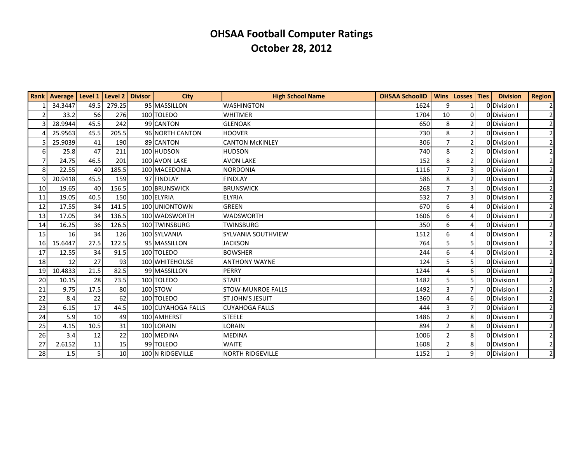|                 | Rank   Average   Level 1 |      | Level 2 Divisor | <b>City</b>        | <b>High School Name</b>   | <b>OHSAA SchoolID</b> |                          | Wins   Losses   Ties | <b>Division</b> | <b>Region</b>  |
|-----------------|--------------------------|------|-----------------|--------------------|---------------------------|-----------------------|--------------------------|----------------------|-----------------|----------------|
|                 | 34.3447                  | 49.5 | 279.25          | 95 MASSILLON       | <b>WASHINGTON</b>         | 1624                  | 9                        |                      | 0 Division I    | $\overline{2}$ |
| $\overline{2}$  | 33.2                     | 56   | 276             | 100 TOLEDO         | <b>WHITMER</b>            | 1704                  | 10                       | $\Omega$             | O Division I    | $\overline{2}$ |
|                 | 28.9944                  | 45.5 | 242             | 99 CANTON          | <b>GLENOAK</b>            | 650                   | 8                        | 2                    | 0Division       | $\overline{2}$ |
|                 | 25.9563                  | 45.5 | 205.5           | 96 NORTH CANTON    | <b>HOOVER</b>             | 730                   | 8                        | 2                    | 0Division       | $\overline{2}$ |
|                 | 25.9039                  | 41   | 190             | 89 CANTON          | <b>CANTON MCKINLEY</b>    | 306                   |                          | $\overline{2}$       | 0 Division I    | $\overline{2}$ |
| 6 <sup>1</sup>  | 25.8                     | 47   | 211             | 100 HUDSON         | <b>HUDSON</b>             | 740                   | 8                        | $\overline{2}$       | 0 Division I    | $\overline{2}$ |
| $\overline{7}$  | 24.75                    | 46.5 | 201             | 100 AVON LAKE      | <b>AVON LAKE</b>          | 152                   | 8                        | $\overline{2}$       | 0Division I     | $\overline{2}$ |
| 8               | 22.55                    | 40   | 185.5           | 100 MACEDONIA      | <b>NORDONIA</b>           | 1116                  |                          | 3 <sub>1</sub>       | 0Division       | $\mathbf{2}$   |
| $\overline{9}$  | 20.9418                  | 45.5 | 159             | 97 FINDLAY         | <b>FINDLAY</b>            | 586                   | 8                        | $\overline{2}$       | ODivision I     | $\overline{2}$ |
| 10 <sup>1</sup> | 19.65                    | 40   | 156.5           | 100 BRUNSWICK      | <b>BRUNSWICK</b>          | 268                   |                          | 3                    | 0Division       |                |
| 11              | 19.05                    | 40.5 | 150             | 100 ELYRIA         | <b>ELYRIA</b>             | 532                   | $\overline{7}$           | 3                    | 0Division       | $\overline{2}$ |
| 12              | 17.55                    | 34   | 141.5           | 100 UNIONTOWN      | <b>GREEN</b>              | 670                   | 6                        | 4                    | 0 Division I    | $\overline{2}$ |
| 13              | 17.05                    | 34   | 136.5           | 100 WADSWORTH      | <b>WADSWORTH</b>          | 1606                  | 6                        | 4                    | 0Division       | $\overline{2}$ |
| 14              | 16.25                    | 36   | 126.5           | 100 TWINSBURG      | <b>TWINSBURG</b>          | 350                   | 6                        | 4                    | 0Division       | $\overline{2}$ |
| 15              | 16                       | 34   | 126             | 100 SYLVANIA       | <b>SYLVANIA SOUTHVIEW</b> | 1512                  | 6                        |                      | 0 Division I    | $\overline{2}$ |
| 16              | 15.6447                  | 27.5 | 122.5           | 95 MASSILLON       | <b>JACKSON</b>            | 764                   | 5                        | 5                    | 0Division       | $\overline{2}$ |
| 17              | 12.55                    | 34   | 91.5            | 100 TOLEDO         | <b>BOWSHER</b>            | 244                   | 6                        | 4                    | OlDivision I    | $\overline{2}$ |
| 18              | 12                       | 27   | 93              | 100 WHITEHOUSE     | <b>ANTHONY WAYNE</b>      | 124                   | 5                        | 5                    | 0 Division      | $\overline{2}$ |
| 19              | 10.4833                  | 21.5 | 82.5            | 99 MASSILLON       | <b>PERRY</b>              | 1244                  |                          | 6                    | 0Division       | $\overline{2}$ |
| 20              | 10.15                    | 28   | 73.5            | 100 TOLEDO         | <b>START</b>              | 1482                  | 5                        | 5                    | 0Division       | $\overline{2}$ |
| 21              | 9.75                     | 17.5 | 80              | 100 STOW           | <b>STOW-MUNROE FALLS</b>  | 1492                  | 3                        | 7                    | 0 Division I    | $\overline{2}$ |
| 22              | 8.4                      | 22   | 62              | 100 TOLEDO         | <b>ST JOHN'S JESUIT</b>   | 1360                  |                          | 6                    | 0Division       | $\overline{2}$ |
| 23              | 6.15                     | 17   | 44.5            | 100 CUYAHOGA FALLS | <b>CUYAHOGA FALLS</b>     | 444                   | 3                        | $\overline{7}$       | 0Division       | $\overline{2}$ |
| 24              | 5.9                      | 10   | 49              | 100 AMHERST        | <b>STEELE</b>             | 1486                  | 2                        | 8                    | 0Division       | $\overline{2}$ |
| 25              | 4.15                     | 10.5 | 31              | 100 LORAIN         | LORAIN                    | 894                   | $\overline{\phantom{a}}$ | 8                    | 0 Division I    | $\mathbf{2}$   |
| 26              | 3.4                      | 12   | 22              | 100 MEDINA         | <b>MEDINA</b>             | 1006                  |                          | 8                    | 0 Division I    |                |
| 27              | 2.6152                   | 11   | 15              | 99 TOLEDO          | <b>WAITE</b>              | 1608                  |                          | 8                    | 0Division       | $\overline{2}$ |
| 28              | 1.5                      | 5    | 10              | 100 N RIDGEVILLE   | <b>NORTH RIDGEVILLE</b>   | 1152                  |                          | 9 <sub>l</sub>       | 0 Division      | $\overline{2}$ |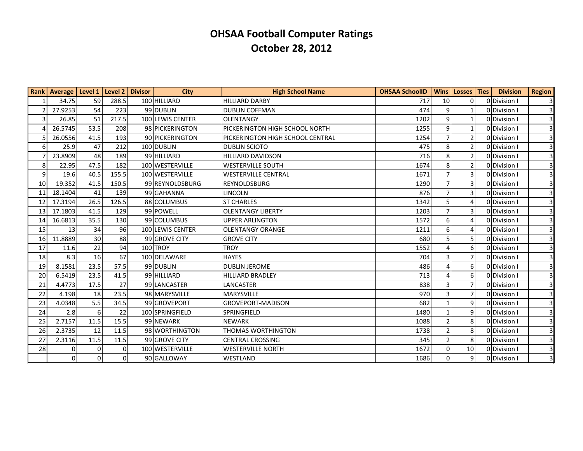|    | Rank   Average   Level 1   Level 2   Divisor |                 |          | <b>City</b>      | <b>High School Name</b>          | <b>OHSAA SchoolID</b> |                 | Wins   Losses   Ties | <b>Division</b> | <b>Region</b>  |
|----|----------------------------------------------|-----------------|----------|------------------|----------------------------------|-----------------------|-----------------|----------------------|-----------------|----------------|
|    | 34.75                                        | 59              | 288.5    | 100 HILLIARD     | <b>HILLIARD DARBY</b>            | 717                   | 10 <sup>1</sup> | 0                    | 0 Division I    | 31             |
|    | 27.9253                                      | 54              | 223      | 99 DUBLIN        | <b>DUBLIN COFFMAN</b>            | 474                   | $\vert 9 \vert$ |                      | 0Division I     | $\overline{3}$ |
|    | 26.85                                        | 51              | 217.5    | 100 LEWIS CENTER | <b>OLENTANGY</b>                 | 1202                  | 9               |                      | 0 Division I    | $\vert$ 3      |
|    | 26.5745                                      | 53.5            | 208      | 98 PICKERINGTON  | PICKERINGTON HIGH SCHOOL NORTH   | 1255                  | 9               |                      | 0 Division I    | $\overline{3}$ |
|    | 26.0556                                      | 41.5            | 193      | 90 PICKERINGTON  | PICKERINGTON HIGH SCHOOL CENTRAL | 1254                  | $\overline{7}$  | $\overline{2}$       | 0Division I     | $\vert$ 3      |
|    | 25.9                                         | 47              | 212      | 100 DUBLIN       | <b>DUBLIN SCIOTO</b>             | 475                   | 8               | $\mathfrak z$        | 0 Division I    | 3 <sup>l</sup> |
|    | 23.8909                                      | 48              | 189      | 99 HILLIARD      | <b>HILLIARD DAVIDSON</b>         | 716                   | 8               | $\overline{2}$       | 0 Division I    | $\vert$ 3      |
| 8  | 22.95                                        | 47.5            | 182      | 100 WESTERVILLE  | <b>WESTERVILLE SOUTH</b>         | 1674                  | 8               | $\mathcal{P}$        | ODivision I     | $\overline{3}$ |
| 9  | 19.6                                         | 40.5            | 155.5    | 100 WESTERVILLE  | <b>WESTERVILLE CENTRAL</b>       | 1671                  | $\overline{7}$  | 3                    | 0 Division I    | $\vert$ 3      |
| 10 | 19.352                                       | 41.5            | 150.5    | 99 REYNOLDSBURG  | REYNOLDSBURG                     | 1290                  | $\overline{7}$  | 3                    | ODDivision I    | $\overline{3}$ |
| 11 | 18.1404                                      | 41              | 139      | 99 GAHANNA       | <b>LINCOLN</b>                   | 876                   | $\overline{7}$  | 3 <sub>1</sub>       | 0 Division I    | $\vert$ 3      |
| 12 | 17.3194                                      | 26.5            | 126.5    | 88 COLUMBUS      | <b>ST CHARLES</b>                | 1342                  | 5               | 4                    | 0 Division I    | $\overline{3}$ |
| 13 | 17.1803                                      | 41.5            | 129      | 99 POWELL        | <b>OLENTANGY LIBERTY</b>         | 1203                  | $\overline{7}$  | 3                    | 0 Division I    | $\overline{3}$ |
| 14 | 16.6813                                      | 35.5            | 130      | 99 COLUMBUS      | <b>UPPER ARLINGTON</b>           | 1572                  | 6               | 4                    | 0 Division I    | $\overline{3}$ |
| 15 | 13                                           | 34              | 96       | 100 LEWIS CENTER | <b>OLENTANGY ORANGE</b>          | 1211                  | 6               | 4                    | 0 Division I    | $\vert$ 3      |
| 16 | 11.8889                                      | 30              | 88       | 99 GROVE CITY    | <b>GROVE CITY</b>                | 680                   | 5               | 5.                   | 0 Division I    | $\overline{3}$ |
| 17 | 11.6                                         | 22              | 94       | 100 TROY         | <b>TROY</b>                      | 1552                  | $\Delta$        | 6                    | 0 Division I    | $\overline{3}$ |
| 18 | 8.3                                          | 16              | 67       | 100 DELAWARE     | <b>HAYES</b>                     | 704                   | 3               |                      | 0 Division I    |                |
| 19 | 8.1581                                       | 23.5            | 57.5     | 99 DUBLIN        | <b>DUBLIN JEROME</b>             | 486                   |                 | 6                    | 0 Division I    |                |
| 20 | 6.5419                                       | 23.5            | 41.5     | 99 HILLIARD      | <b>HILLIARD BRADLEY</b>          | 713                   |                 | 6                    | 0 Division I    |                |
| 21 | 4.4773                                       | 17.5            | 27       | 99 LANCASTER     | LANCASTER                        | 838                   | 3               | 7                    | 0 Division I    | $\overline{3}$ |
| 22 | 4.198                                        | 18              | 23.5     | 98 MARYSVILLE    | <b>MARYSVILLE</b>                | 970                   | 3               |                      | 0 Division I    |                |
| 23 | 4.0348                                       | 5.5             | 34.5     | 99 GROVEPORT     | <b>GROVEPORT-MADISON</b>         | 682                   |                 | 9                    | 0 Division I    | $\overline{3}$ |
| 24 | 2.8                                          | $6\phantom{1}6$ | 22       | 100 SPRINGFIELD  | SPRINGFIELD                      | 1480                  | 1               | 9                    | 0 Division I    | $\overline{3}$ |
| 25 | 2.7157                                       | 11.5            | 15.5     | 99 NEWARK        | <b>NEWARK</b>                    | 1088                  | $\overline{2}$  | 8                    | 0 Division I    | $\overline{3}$ |
| 26 | 2.3735                                       | 12              | 11.5     | 98 WORTHINGTON   | <b>THOMAS WORTHINGTON</b>        | 1738                  | $\overline{2}$  | 8                    | 0 Division I    | $\overline{3}$ |
| 27 | 2.3116                                       | 11.5            | 11.5     | 99 GROVE CITY    | <b>CENTRAL CROSSING</b>          | 345                   | $\overline{2}$  | 8                    | 0 Division I    | $\vert$ 3      |
| 28 | $\mathbf{0}$                                 | $\mathbf 0$     | $\Omega$ | 100 WESTERVILLE  | <b>WESTERVILLE NORTH</b>         | 1672                  | $\overline{0}$  | 10                   | 0 Division I    | 3 <sup>1</sup> |
|    | $\mathbf 0$                                  | $\Omega$        | $\Omega$ | 90 GALLOWAY      | WESTLAND                         | 1686                  | $\Omega$        | $\overline{9}$       | 0 Division I    | $\overline{3}$ |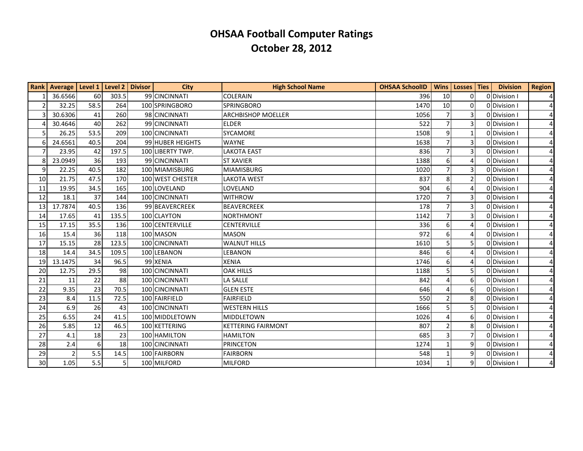|                | Rank   Average   Level 1   Level 2 |                  |       | <b>Divisor</b> | <b>City</b>      | <b>High School Name</b>   | <b>OHSAA SchoolID</b> | <b>Wins</b>    | Losses   Ties  | <b>Division</b> | <b>Region</b>  |
|----------------|------------------------------------|------------------|-------|----------------|------------------|---------------------------|-----------------------|----------------|----------------|-----------------|----------------|
|                | 36.6566                            | 60               | 303.5 |                | 99 CINCINNATI    | <b>COLERAIN</b>           | 396                   | 10             | 0              | 0Division I     | $\vert$        |
| $\overline{2}$ | 32.25                              | 58.5             | 264   |                | 100 SPRINGBORO   | <b>SPRINGBORO</b>         | 1470                  | 10             | $\Omega$       | 0 Division I    | $\overline{4}$ |
| 3              | 30.6306                            | 41               | 260   |                | 98 CINCINNATI    | <b>ARCHBISHOP MOELLER</b> | 1056                  | $\overline{7}$ | 3              | 0Division       | $\overline{4}$ |
| 4              | 30.4646                            | 40               | 262   |                | 99 CINCINNATI    | <b>ELDER</b>              | 522                   | $\overline{7}$ | 3              | 0 Division I    | $\overline{4}$ |
| 5              | 26.25                              | 53.5             | 209   |                | 100 CINCINNATI   | SYCAMORE                  | 1508                  | 9              | 1              | ODivision I     | $\overline{4}$ |
| 6              | 24.6561                            | 40.5             | 204   |                | 99 HUBER HEIGHTS | <b>WAYNE</b>              | 1638                  | $\overline{7}$ | 3              | 0 Division I    | $\overline{4}$ |
| $\overline{7}$ | 23.95                              | 42               | 197.5 |                | 100 LIBERTY TWP. | <b>LAKOTA EAST</b>        | 836                   | $\overline{7}$ | 3              | 0 Division I    | $\overline{4}$ |
| 8              | 23.0949                            | 36               | 193   |                | 99 CINCINNATI    | <b>ST XAVIER</b>          | 1388                  | 6              | 4              | ODivision I     | $\frac{4}{ }$  |
| 9              | 22.25                              | 40.5             | 182   |                | 100 MIAMISBURG   | <b>MIAMISBURG</b>         | 1020                  |                | 3              | 0 Division I    | 41             |
| 10             | 21.75                              | 47.5             | 170   |                | 100 WEST CHESTER | <b>LAKOTA WEST</b>        | 837                   | 8              | $\overline{2}$ | 0Division I     | 41             |
| 11             | 19.95                              | 34.5             | 165   |                | 100 LOVELAND     | LOVELAND                  | 904                   | 6              |                | 0 Division I    | $\overline{4}$ |
| 12             | 18.1                               | 37               | 144   |                | 100 CINCINNATI   | <b>WITHROW</b>            | 1720                  | $\overline{7}$ | 3              | 0 Division I    | $\overline{4}$ |
| 13             | 17.7874                            | 40.5             | 136   |                | 99 BEAVERCREEK   | <b>BEAVERCREEK</b>        | 178                   | $\overline{7}$ | 3              | 0 Division I    | $\frac{4}{ }$  |
| 14             | 17.65                              | 41               | 135.5 |                | 100 CLAYTON      | <b>NORTHMONT</b>          | 1142                  |                | 3              | 0Division       | $\overline{4}$ |
| 15             | 17.15                              | 35.5             | 136   |                | 100 CENTERVILLE  | <b>CENTERVILLE</b>        | 336                   | 6              | $\Delta$       | 0 Division I    | $\overline{4}$ |
| 16             | 15.4                               | 36               | 118   |                | 100 MASON        | <b>MASON</b>              | 972                   | 6              |                | 0Division       | $\overline{4}$ |
| 17             | 15.15                              | 28               | 123.5 |                | 100 CINCINNATI   | <b>WALNUT HILLS</b>       | 1610                  | 5              | 5              | 0 Division I    | $\frac{4}{ }$  |
| 18             | 14.4                               | 34.5             | 109.5 |                | 100LEBANON       | <b>LEBANON</b>            | 846                   | 6              | 4              | 0 Division I    | $\overline{4}$ |
| 19             | 13.1475                            | 34               | 96.5  |                | 99 XENIA         | <b>XENIA</b>              | 1746                  | 6              | 4              | 0Division I     | 41             |
| 20             | 12.75                              | 29.5             | 98    |                | 100 CINCINNATI   | <b>OAK HILLS</b>          | 1188                  | 5              | 5              | 0 Division I    | $\overline{4}$ |
| 21             | 11                                 | 22               | 88    |                | 100 CINCINNATI   | <b>LA SALLE</b>           | 842                   | $\Delta$       | 6              | 0Division       | $\overline{4}$ |
| 22             | 9.35                               | 23               | 70.5  |                | 100 CINCINNATI   | <b>GLEN ESTE</b>          | 646                   | 4              | 6              | 0 Division I    | $\frac{4}{ }$  |
| 23             | 8.4                                | 11.5             | 72.5  |                | 100 FAIRFIELD    | <b>FAIRFIELD</b>          | 550                   | $\overline{2}$ | 8              | 0 Division I    | $\overline{4}$ |
| 24             | 6.9                                | 26               | 43    |                | 100 CINCINNATI   | <b>WESTERN HILLS</b>      | 1666                  | 5              | 5              | 0Division       | 41             |
| 25             | 6.55                               | 24               | 41.5  |                | 100 MIDDLETOWN   | <b>MIDDLETOWN</b>         | 1026                  | $\overline{4}$ | 6              | ODDivision I    | 41             |
| 26             | 5.85                               | 12               | 46.5  |                | 100 KETTERING    | <b>KETTERING FAIRMONT</b> | 807                   | $\overline{2}$ | 8              | 0 Division I    | $\frac{4}{ }$  |
| 27             | 4.1                                | 18               | 23    |                | 100 HAMILTON     | <b>HAMILTON</b>           | 685                   | $\overline{3}$ | 7              | 0 Division I    | $\frac{4}{ }$  |
| 28             | 2.4                                | $6 \overline{6}$ | 18    |                | 100 CINCINNATI   | <b>PRINCETON</b>          | 1274                  | $\mathbf{1}$   | 9              | 0 Division I    | $\overline{4}$ |
| 29             | $\overline{2}$                     | 5.5              | 14.5  |                | 100 FAIRBORN     | <b>FAIRBORN</b>           | 548                   |                | 9              | 0 Division      | 41             |
| 30             | 1.05                               | 5.5              | 5     |                | 100 MILFORD      | <b>MILFORD</b>            | 1034                  | $\mathbf{1}$   | 9              | ODivision I     | $\overline{4}$ |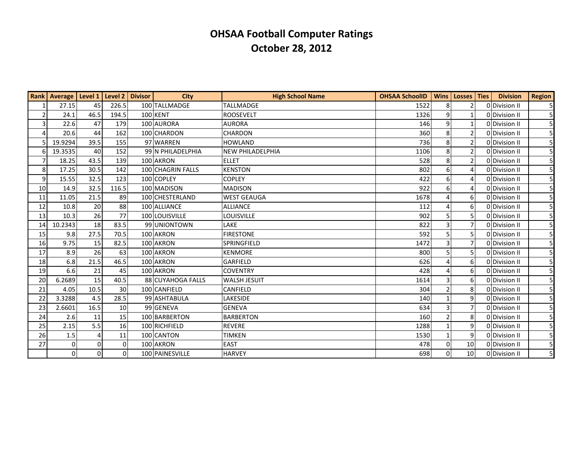|                | Rank   Average   Level 1   Level 2 |             |          | <b>Divisor</b> | City              | <b>High School Name</b> | <b>OHSAA SchoolID</b> | <b>Wins</b>    | Losses Ties           | <b>Division</b> | <b>Region</b>  |
|----------------|------------------------------------|-------------|----------|----------------|-------------------|-------------------------|-----------------------|----------------|-----------------------|-----------------|----------------|
|                | 27.15                              | 45          | 226.5    |                | 100 TALLMADGE     | <b>TALLMADGE</b>        | 1522                  | 8              | $\overline{2}$        | 0Division II    | 5              |
| $\overline{2}$ | 24.1                               | 46.5        | 194.5    |                | 100 KENT          | <b>ROOSEVELT</b>        | 1326                  | 9              | $\mathbf{1}$          | ODivision II    | 5              |
| $\overline{3}$ | 22.6                               | 47          | 179      |                | 100 AURORA        | <b>AURORA</b>           | 146                   | 9              | 1                     | 0 Division II   | 51             |
| 4              | 20.6                               | 44          | 162      |                | 100 CHARDON       | <b>CHARDON</b>          | 360                   | 8              | $\overline{2}$        | 0 Division II   | 5              |
| 5              | 19.9294                            | 39.5        | 155      |                | 97 WARREN         | <b>HOWLAND</b>          | 736                   | 8              | 2                     | 0 Division II   | 5 <sup>1</sup> |
| 6              | 19.3535                            | 40          | 152      |                | 99 N PHILADELPHIA | <b>NEW PHILADELPHIA</b> | 1106                  | 8              |                       | 0 Division II   | 5 <sup>1</sup> |
| $\overline{7}$ | 18.25                              | 43.5        | 139      |                | 100 AKRON         | <b>ELLET</b>            | 528                   | 8              | $\overline{2}$        | 0 Division II   | 5 <sup>1</sup> |
| 8              | 17.25                              | 30.5        | 142      |                | 100 CHAGRIN FALLS | <b>KENSTON</b>          | 802                   | 6              | $\boldsymbol{\Delta}$ | 0 Division II   | 5 <sup>1</sup> |
| 9              | 15.55                              | 32.5        | 123      |                | 100 COPLEY        | <b>COPLEY</b>           | 422                   | 6              | $\boldsymbol{\Delta}$ | 0 Division II   | 5 <sup>1</sup> |
| 10             | 14.9                               | 32.5        | 116.5    |                | 100 MADISON       | <b>MADISON</b>          | 922                   | 6              | $\Delta$              | ODivision II    | 51             |
| 11             | 11.05                              | 21.5        | 89       |                | 100 CHESTERLAND   | <b>WEST GEAUGA</b>      | 1678                  | 4              | 6                     | 0 Division II   | 51             |
| 12             | 10.8                               | 20          | 88       |                | 100 ALLIANCE      | <b>ALLIANCE</b>         | 112                   | $\Lambda$      | 6                     | 0 Division II   | 5 <sup>1</sup> |
| 13             | 10.3                               | 26          | 77       |                | 100 LOUISVILLE    | LOUISVILLE              | 902                   |                |                       | 0 Division II   |                |
| 14             | 10.2343                            | 18          | 83.5     |                | 99 UNIONTOWN      | LAKE                    | 822                   |                | 7                     | 0 Division II   | 5 <sup>1</sup> |
| 15             | 9.8                                | 27.5        | 70.5     |                | 100 AKRON         | <b>FIRESTONE</b>        | 592                   | 5              | 5                     | 0 Division II   | 5              |
| 16             | 9.75                               | 15          | 82.5     |                | 100 AKRON         | SPRINGFIELD             | 1472                  |                | $\overline{7}$        | 0 Division II   | 5 <sup>1</sup> |
| 17             | 8.9                                | 26          | 63       |                | 100 AKRON         | <b>KENMORE</b>          | 800                   | 5              | 5                     | 0 Division II   | 5 <sup>1</sup> |
| 18             | 6.8                                | 21.5        | 46.5     |                | 100 AKRON         | GARFIELD                | 626                   | $\Delta$       | 6                     | 0 Division II   | 5 <sup>1</sup> |
| 19             | 6.6                                | 21          | 45       |                | 100 AKRON         | <b>COVENTRY</b>         | 428                   |                | 6                     | 0 Division II   | 5 <sup>1</sup> |
| 20             | 6.2689                             | 15          | 40.5     |                | 88 CUYAHOGA FALLS | <b>WALSH JESUIT</b>     | 1614                  | 3              | 6                     | 0 Division II   | 5 <sup>1</sup> |
| 21             | 4.05                               | 10.5        | 30       |                | 100 CANFIELD      | CANFIELD                | 304                   | $\mathcal{P}$  | 8                     | 0 Division II   | 51             |
| 22             | 3.3288                             | 4.5         | 28.5     |                | 99 ASHTABULA      | <b>LAKESIDE</b>         | 140                   |                | 9                     | 0 Division II   | 51             |
| 23             | 2.6601                             | 16.5        | 10       |                | 99 GENEVA         | <b>GENEVA</b>           | 634                   |                | 7                     | 0 Division II   | 5 <sup>1</sup> |
| 24             | 2.6                                | 11          | 15       |                | 100 BARBERTON     | <b>BARBERTON</b>        | 160                   | $\overline{2}$ | 8                     | 0 Division II   | 51             |
| 25             | 2.15                               | 5.5         | 16       |                | 100 RICHFIELD     | <b>REVERE</b>           | 1288                  |                | 9                     | 0 Division II   | 5 <sup>1</sup> |
| 26             | 1.5                                | 4           | 11       |                | 100 CANTON        | <b>TIMKEN</b>           | 1530                  |                | 9                     | ODDivision II   | 5 <sup>1</sup> |
| 27             | $\Omega$                           | $\mathbf 0$ | $\Omega$ |                | 100 AKRON         | <b>EAST</b>             | 478                   | $\Omega$       | 10 <sup>1</sup>       | 0 Division II   | 5 <sup>1</sup> |
|                | 0                                  | 0           | $\Omega$ |                | 100 PAINESVILLE   | <b>HARVEY</b>           | 698                   | $\Omega$       | 10 <sup>1</sup>       | 0 Division II   | 5 <sup>1</sup> |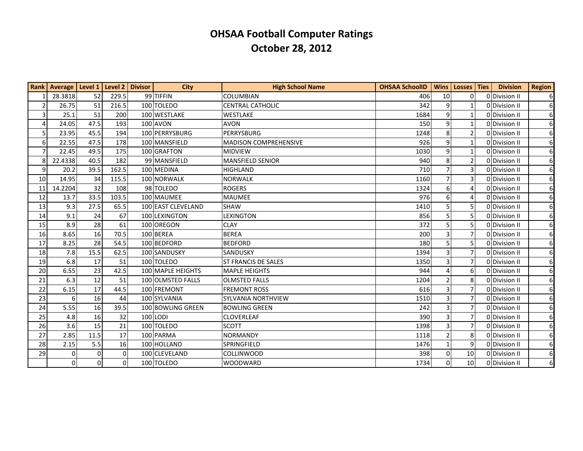|                | Rank   Average   Level 1   Level 2   Divisor |          |          | <b>City</b>        | <b>High School Name</b>      | <b>OHSAA SchoolID</b> | <b>Wins</b>    | Losses   Ties   | <b>Division</b> | <b>Region</b>  |
|----------------|----------------------------------------------|----------|----------|--------------------|------------------------------|-----------------------|----------------|-----------------|-----------------|----------------|
|                | 28.3818                                      | 52       | 229.5    | 99 TIFFIN          | <b>COLUMBIAN</b>             | 406                   | 10             | $\Omega$        | 0Division II    | 6 <sup>1</sup> |
| $\overline{2}$ | 26.75                                        | 51       | 216.5    | 100 TOLEDO         | <b>CENTRAL CATHOLIC</b>      | 342                   | 9              | $\mathbf{1}$    | 0 Division II   | 61             |
| 3              | 25.1                                         | 51       | 200      | 100 WESTLAKE       | <b>WESTLAKE</b>              | 1684                  | 9              | $\mathbf{1}$    | 0 Division II   | 61             |
| $\overline{4}$ | 24.05                                        | 47.5     | 193      | 100 AVON           | <b>AVON</b>                  | 150                   | 9              | 1               | 0 Division II   | 61             |
| 5              | 23.95                                        | 45.5     | 194      | 100 PERRYSBURG     | <b>PERRYSBURG</b>            | 1248                  | 8              | $\overline{2}$  | 0 Division II   | 6 <sup>1</sup> |
| 6              | 22.55                                        | 47.5     | 178      | 100 MANSFIELD      | <b>MADISON COMPREHENSIVE</b> | 926                   | 9              | $\mathbf{1}$    | 0 Division II   | 6 <sup>1</sup> |
| $\overline{7}$ | 22.45                                        | 49.5     | 175      | 100 GRAFTON        | MIDVIEW                      | 1030                  | 9              | $\mathbf{1}$    | 0 Division II   | $6 \mid$       |
| 8              | 22.4338                                      | 40.5     | 182      | 99 MANSFIELD       | <b>MANSFIELD SENIOR</b>      | 940                   | 8              | $\overline{2}$  | 0 Division II   | $6 \mid$       |
| $\overline{9}$ | 20.2                                         | 39.5     | 162.5    | 100 MEDINA         | <b>HIGHLAND</b>              | 710                   |                | 3               | 0 Division II   | 61             |
| 10             | 14.95                                        | 34       | 115.5    | 100 NORWALK        | <b>NORWALK</b>               | 1160                  |                | $\overline{3}$  | 0 Division II   | 6 <sup>1</sup> |
| 11             | 14.2204                                      | 32       | 108      | 98 TOLEDO          | <b>ROGERS</b>                | 1324                  | 6              | 4               | 0 Division II   | $6 \mid$       |
| 12             | 13.7                                         | 33.5     | 103.5    | 100 MAUMEE         | <b>MAUMEE</b>                | 976                   | 6              | 4               | 0 Division II   | $6 \mid$       |
| 13             | 9.3                                          | 27.5     | 65.5     | 100 EAST CLEVELAND | <b>SHAW</b>                  | 1410                  | 5              | 5               | 0 Division II   | $6 \mid$       |
| 14             | 9.1                                          | 24       | 67       | 100 LEXINGTON      | <b>LEXINGTON</b>             | 856                   | 5              | 5               | 0 Division II   | $6 \mid$       |
| 15             | 8.9                                          | 28       | 61       | 100 OREGON         | <b>CLAY</b>                  | 372                   | 5              | 5               | 0 Division II   | 6 <sup>1</sup> |
| 16             | 8.65                                         | 16       | 70.5     | 100 BEREA          | BEREA                        | 200                   | 3              | $\overline{7}$  | 0 Division II   | 6 <sup>1</sup> |
| 17             | 8.25                                         | 28       | 54.5     | 100 BEDFORD        | <b>BEDFORD</b>               | 180                   | 5              | 5               | 0 Division II   | $6 \mid$       |
| 18             | 7.8                                          | 15.5     | 62.5     | 100 SANDUSKY       | <b>SANDUSKY</b>              | 1394                  | 3              | $\overline{7}$  | 0 Division II   | 61             |
| 19             | 6.8                                          | 17       | 51       | 100 TOLEDO         | <b>ST FRANCIS DE SALES</b>   | 1350                  | 3              | $\overline{7}$  | 0 Division II   | 61             |
| 20             | 6.55                                         | 23       | 42.5     | 100 MAPLE HEIGHTS  | <b>MAPLE HEIGHTS</b>         | 944                   | $\Delta$       | 6               | 0 Division II   | $6 \mid$       |
| 21             | 6.3                                          | 12       | 51       | 100 OLMSTED FALLS  | <b>OLMSTED FALLS</b>         | 1204                  |                | 8               | 0 Division II   | $6 \mid$       |
| 22             | 6.15                                         | 17       | 44.5     | 100 FREMONT        | <b>FREMONT ROSS</b>          | 616                   | 3              | $\overline{7}$  | 0Division II    | $6 \mid$       |
| 23             | $6 \overline{6}$                             | 16       | 44       | 100 SYLVANIA       | <b>SYLVANIA NORTHVIEW</b>    | 1510                  | 3              | $\overline{7}$  | 0 Division II   | $6 \mid$       |
| 24             | 5.55                                         | 16       | 39.5     | 100 BOWLING GREEN  | <b>BOWLING GREEN</b>         | 242                   | $\overline{3}$ | $\overline{7}$  | 0 Division II   | $6 \mid$       |
| 25             | 4.8                                          | 16       | 32       | 100 LODI           | <b>CLOVERLEAF</b>            | 390                   | 3              | $\overline{7}$  | 0 Division II   | 6 <sup>1</sup> |
| 26             | 3.6                                          | 15       | 21       | 100 TOLEDO         | <b>SCOTT</b>                 | 1398                  |                | $\overline{7}$  | 0 Division II   | $6 \mid$       |
| 27             | 2.85                                         | 11.5     | 17       | 100 PARMA          | <b>NORMANDY</b>              | 1118                  | $\mathcal{P}$  | 8               | 0 Division II   | $6 \mid$       |
| 28             | 2.15                                         | 5.5      | 16       | 100 HOLLAND        | SPRINGFIELD                  | 1476                  | $\mathbf{1}$   | 9               | 0 Division II   | 61             |
| 29             | $\Omega$                                     | 0        | $\Omega$ | 100 CLEVELAND      | COLLINWOOD                   | 398                   | $\Omega$       | 10 <sup>1</sup> | 0 Division II   | 61             |
|                | $\overline{0}$                               | $\Omega$ | 0        | 100 TOLEDO         | <b>WOODWARD</b>              | 1734                  | $\Omega$       | 10 <sup>1</sup> | 0 Division II   | 6 <sup>1</sup> |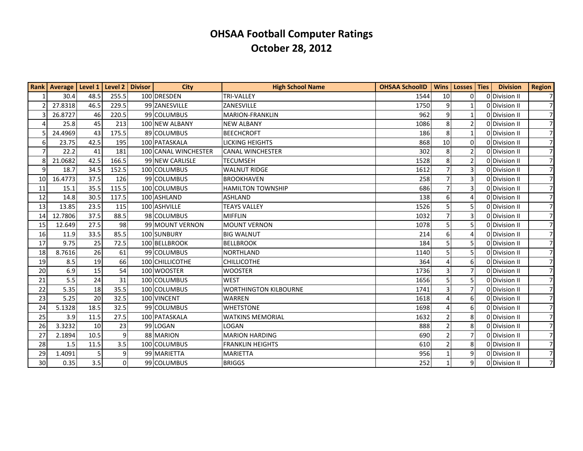|                 | Rank   Average   Level 1 |      | Level 2 Divisor | <b>City</b>          | <b>High School Name</b>      | <b>OHSAA SchoolID</b> | <b>Wins</b>    | Losses   Ties  | <b>Division</b> | <b>Region</b>  |
|-----------------|--------------------------|------|-----------------|----------------------|------------------------------|-----------------------|----------------|----------------|-----------------|----------------|
| $\mathbf{1}$    | 30.4                     | 48.5 | 255.5           | 100 DRESDEN          | <b>TRI-VALLEY</b>            | 1544                  | 10             | 0              | ODDivision II   | 7              |
| $\overline{2}$  | 27.8318                  | 46.5 | 229.5           | 99 ZANESVILLE        | ZANESVILLE                   | 1750                  | 9              | 1              | ODDivision II   | 7              |
| 3               | 26.8727                  | 46   | 220.5           | 99 COLUMBUS          | <b>MARION-FRANKLIN</b>       | 962                   | 9              | 1              | 0 Division II   | 71             |
|                 | 25.8                     | 45   | 213             | 100 NEW ALBANY       | <b>NEW ALBANY</b>            | 1086                  | 8              | $\overline{2}$ | 0 Division II   | 7              |
|                 | 24.4969                  | 43   | 175.5           | 89 COLUMBUS          | <b>BEECHCROFT</b>            | 186                   | 8              | 1              | 0 Division II   | 7              |
| $6 \mid$        | 23.75                    | 42.5 | 195             | 100 PATASKALA        | <b>LICKING HEIGHTS</b>       | 868                   | 10             | $\Omega$       | ODDivision II   | 7 <sup>1</sup> |
| $\overline{7}$  | 22.2                     | 41   | 181             | 100 CANAL WINCHESTER | <b>CANAL WINCHESTER</b>      | 302                   | 8              | 2              | 0 Division II   | 71             |
| 8               | 21.0682                  | 42.5 | 166.5           | 99 NEW CARLISLE      | <b>TECUMSEH</b>              | 1528                  | 8              | $\overline{2}$ | ODDivision II   | 7 <sup>1</sup> |
| $\overline{9}$  | 18.7                     | 34.5 | 152.5           | 100 COLUMBUS         | <b>WALNUT RIDGE</b>          | 1612                  | $\overline{7}$ | 3              | 0 Division II   | 71             |
| 10 <sup>1</sup> | 16.4773                  | 37.5 | 126             | 99 COLUMBUS          | <b>BROOKHAVEN</b>            | 258                   | $\overline{7}$ | 3              | 0 Division II   | 71             |
| 11              | 15.1                     | 35.5 | 115.5           | 100 COLUMBUS         | <b>HAMILTON TOWNSHIP</b>     | 686                   | $\overline{7}$ | 3              | 0 Division II   | 7 <sup>1</sup> |
| 12              | 14.8                     | 30.5 | 117.5           | 100 ASHLAND          | <b>ASHLAND</b>               | 138                   | 6              | 4              | 0 Division II   | 71             |
| 13              | 13.85                    | 23.5 | 115             | 100 ASHVILLE         | <b>TEAYS VALLEY</b>          | 1526                  | 5              | 5              | 0 Division II   | 71             |
| 14              | 12.7806                  | 37.5 | 88.5            | 98 COLUMBUS          | <b>MIFFLIN</b>               | 1032                  | $\overline{7}$ | 3              | 0 Division II   | 71             |
| 15              | 12.649                   | 27.5 | 98              | 99 MOUNT VERNON      | <b>MOUNT VERNON</b>          | 1078                  | 5              | 5              | 0 Division II   | 71             |
| 16              | 11.9                     | 33.5 | 85.5            | 100 SUNBURY          | <b>BIG WALNUT</b>            | 214                   | 6              |                | 0 Division II   | 7 <sup>1</sup> |
| 17              | 9.75                     | 25   | 72.5            | 100 BELLBROOK        | <b>BELLBROOK</b>             | 184                   | 5              | 5              | 0 Division II   | 71             |
| 18              | 8.7616                   | 26   | 61              | 99 COLUMBUS          | <b>NORTHLAND</b>             | 1140                  | 5              | 5              | 0 Division II   | 7 <sup>1</sup> |
| 19              | 8.5                      | 19   | 66              | 100 CHILLICOTHE      | <b>CHILLICOTHE</b>           | 364                   | $\overline{4}$ | 6              | 0 Division II   | 71             |
| 20              | 6.9                      | 15   | 54              | 100 WOOSTER          | <b>WOOSTER</b>               | 1736                  | $\overline{3}$ |                | 0 Division II   | 7              |
| 21              | 5.5                      | 24   | 31              | 100 COLUMBUS         | <b>WEST</b>                  | 1656                  | 5              | 5              | 0 Division II   | 7 <sup>1</sup> |
| 22              | 5.35                     | 18   | 35.5            | 100 COLUMBUS         | <b>WORTHINGTON KILBOURNE</b> | 1741                  | 3              | 7              | 0 Division II   | 71             |
| 23              | 5.25                     | 20   | 32.5            | 100 VINCENT          | <b>WARREN</b>                | 1618                  | $\overline{4}$ | 6              | ODDivision II   | 7 <sup>1</sup> |
| 24              | 5.1328                   | 18.5 | 32.5            | 99 COLUMBUS          | <b>WHETSTONE</b>             | 1698                  | $\overline{4}$ | 6              | 0 Division II   | 7              |
| 25              | 3.9                      | 11.5 | 27.5            | 100 PATASKALA        | <b>WATKINS MEMORIAL</b>      | 1632                  | $\overline{2}$ | 8              | ODIvision II    | 71             |
| 26              | 3.3232                   | 10   | 23              | 99 LOGAN             | LOGAN                        | 888                   | $\overline{2}$ | 8              | 0 Division II   | 7              |
| 27              | 2.1894                   | 10.5 | q               | 88 MARION            | <b>MARION HARDING</b>        | 690                   | $\overline{2}$ | 7              | 0 Division II   | 71             |
| 28              | 1.5                      | 11.5 | 3.5             | 100 COLUMBUS         | <b>FRANKLIN HEIGHTS</b>      | 610                   | $\overline{2}$ | 8              | 0 Division II   | 7              |
| 29              | 1.4091                   |      | q               | 99 MARIETTA          | <b>MARIETTA</b>              | 956                   |                | 9              | 0 Division II   | 71             |
| 30 <sup>1</sup> | 0.35                     | 3.5  | $\Omega$        | 99 COLUMBUS          | <b>BRIGGS</b>                | 252                   | $\mathbf{1}$   | 9              | ODivision II    | 7              |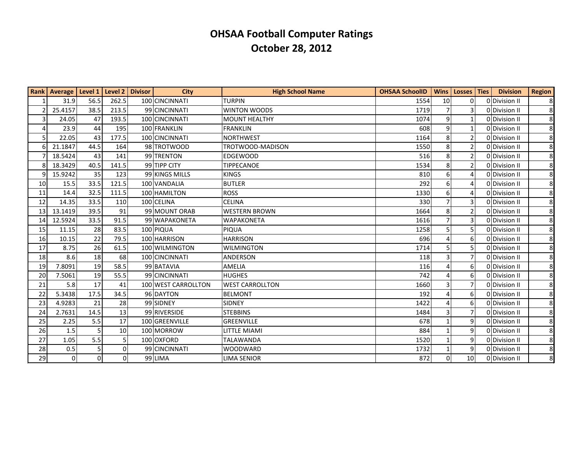|    | Rank   Average   Level 1   Level 2   Divisor |          |                 | <b>City</b>         | <b>High School Name</b> | <b>OHSAA SchoolID</b> |                 | Wins   Losses   Ties | <b>Division</b> | <b>Region</b>  |
|----|----------------------------------------------|----------|-----------------|---------------------|-------------------------|-----------------------|-----------------|----------------------|-----------------|----------------|
|    | 31.9                                         | 56.5     | 262.5           | 100 CINCINNATI      | <b>TURPIN</b>           | 1554                  | 10 <sup>1</sup> | 0                    | 0 Division II   | 8 <sup>1</sup> |
|    | 25.4157                                      | 38.5     | 213.5           | 99 CINCINNATI       | <b>WINTON WOODS</b>     | 1719                  | $\overline{7}$  | 3                    | 0Division II    | 8 <sup>1</sup> |
| 3  | 24.05                                        | 47       | 193.5           | 100 CINCINNATI      | <b>MOUNT HEALTHY</b>    | 1074                  | 9               |                      | 0Division II    | 8 <sup>l</sup> |
|    | 23.9                                         | 44       | 195             | 100 FRANKLIN        | <b>FRANKLIN</b>         | 608                   | 9               |                      | ODivision II    | 8 <sup>1</sup> |
|    | 22.05                                        | 43       | 177.5           | 100 CINCINNATI      | <b>NORTHWEST</b>        | 1164                  | 8               | $\overline{2}$       | ODivision II    | 8 <sup>1</sup> |
|    | 21.1847                                      | 44.5     | 164             | 98 TROTWOOD         | TROTWOOD-MADISON        | 1550                  | 8 <sup>1</sup>  | 2                    | 0 Division II   | 8              |
|    | 18.5424                                      | 43       | 141             | 99 TRENTON          | <b>EDGEWOOD</b>         | 516                   | 8               | $\overline{2}$       | ODivision II    | 8 <sup>1</sup> |
|    | 18.3429                                      | 40.5     | 141.5           | 99 TIPP CITY        | <b>TIPPECANOE</b>       | 1534                  | 8               | 2                    | 0 Division II   | 8              |
|    | 15.9242                                      | 35       | 123             | 99 KINGS MILLS      | <b>KINGS</b>            | 810                   | 6 <sup>1</sup>  | 4                    | ODivision II    | 8 <sup>l</sup> |
| 10 | 15.5                                         | 33.5     | 121.5           | 100 VANDALIA        | <b>BUTLER</b>           | 292                   | 6               | 4                    | 0 Division II   | 8 <sup>l</sup> |
| 11 | 14.4                                         | 32.5     | 111.5           | 100 HAMILTON        | <b>ROSS</b>             | 1330                  | 6               | 4                    | 0 Division II   | 8 <sup>1</sup> |
| 12 | 14.35                                        | 33.5     | 110             | 100 CELINA          | <b>CELINA</b>           | 330                   | $\overline{7}$  | 3                    | 0 Division II   | 8 <sup>l</sup> |
| 13 | 13.1419                                      | 39.5     | 91              | 99 MOUNT ORAB       | <b>WESTERN BROWN</b>    | 1664                  | 8               | 2                    | ODivision II    | 8 <sup>1</sup> |
| 14 | 12.5924                                      | 33.5     | 91.5            | 99 WAPAKONETA       | WAPAKONETA              | 1616                  | $\overline{7}$  | 3                    | 0 Division II   | 8 <sup>l</sup> |
| 15 | 11.15                                        | 28       | 83.5            | 100 PIQUA           | PIQUA                   | 1258                  | 5               | 5                    | ODivision II    | 8 <sup>l</sup> |
| 16 | 10.15                                        | 22       | 79.5            | 100 HARRISON        | <b>HARRISON</b>         | 696                   |                 | 6                    | 0 Division II   | 8 <sup>1</sup> |
| 17 | 8.75                                         | 26       | 61.5            | 100 WILMINGTON      | <b>WILMINGTON</b>       | 1714                  | 5               | 5                    | 0 Division II   | 8 <sup>1</sup> |
| 18 | 8.6                                          | 18       | 68              | 100 CINCINNATI      | <b>ANDERSON</b>         | 118                   |                 |                      | 0 Division II   | 8              |
| 19 | 7.8091                                       | 19       | 58.5            | 99 BATAVIA          | AMELIA                  | 116                   |                 | 6                    | 0 Division II   | 8 <sup>1</sup> |
| 20 | 7.5061                                       | 19       | 55.5            | 99 CINCINNATI       | <b>HUGHES</b>           | 742                   |                 | 6                    | 0 Division II   | 8              |
| 21 | 5.8                                          | 17       | 41              | 100 WEST CARROLLTON | <b>WEST CARROLLTON</b>  | 1660                  | 3               | 7                    | 0Division II    | 8 <sup>1</sup> |
| 22 | 5.3438                                       | 17.5     | 34.5            | 96 DAYTON           | <b>BELMONT</b>          | 192                   |                 | 6                    | 0 Division II   | 8              |
| 23 | 4.9283                                       | 21       | 28              | 99 SIDNEY           | <b>SIDNEY</b>           | 1422                  |                 | 6                    | 0 Division II   | 8 <sup>1</sup> |
| 24 | 2.7631                                       | 14.5     | 13              | 99 RIVERSIDE        | <b>STEBBINS</b>         | 1484                  | 3               | 7                    | 0 Division II   | 8 <sup>l</sup> |
| 25 | 2.25                                         | 5.5      | 17              | 100 GREENVILLE      | <b>GREENVILLE</b>       | 678                   |                 | 9                    | ODivision II    | 8 <sup>1</sup> |
| 26 | 1.5                                          | 5        | 10 <sup>1</sup> | 100 MORROW          | <b>LITTLE MIAMI</b>     | 884                   | 1               | 9                    | 0 Division II   | 8 <sup>1</sup> |
| 27 | 1.05                                         | 5.5      | 5               | 100 OXFORD          | TALAWANDA               | 1520                  | $\mathbf{1}$    | 9                    | ODivision II    | 8 <sup>l</sup> |
| 28 | 0.5                                          | 5        | $\Omega$        | 99 CINCINNATI       | <b>WOODWARD</b>         | 1732                  | $\mathbf{1}$    | 9                    | 0 Division II   | 8 <sup>1</sup> |
| 29 | $\pmb{0}$                                    | $\Omega$ | $\overline{0}$  | 99 LIMA             | <b>LIMA SENIOR</b>      | 872                   | $\Omega$        | 10                   | 0 Division II   | 8              |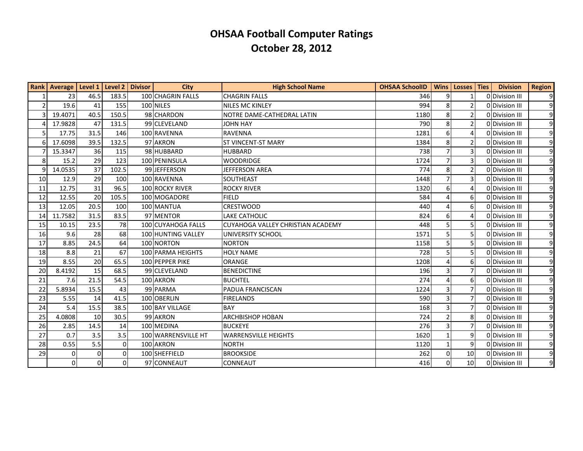|                | Rank   Average   Level 1   Level 2   Divisor |          |          | <b>City</b>         | <b>High School Name</b>           | <b>OHSAA SchoolID</b> | <b>Wins</b>              | Losses Ties     | <b>Division</b> | <b>Region</b>  |
|----------------|----------------------------------------------|----------|----------|---------------------|-----------------------------------|-----------------------|--------------------------|-----------------|-----------------|----------------|
|                | 23                                           | 46.5     | 183.5    | 100 CHAGRIN FALLS   | <b>CHAGRIN FALLS</b>              | 346                   | 9                        |                 | 0 Division III  | $\overline{9}$ |
| 2 <sup>1</sup> | 19.6                                         | 41       | 155      | 100 NILES           | <b>NILES MC KINLEY</b>            | 994                   | 8                        | $\overline{2}$  | 0 Division III  | $\overline{9}$ |
| $\overline{3}$ | 19.4071                                      | 40.5     | 150.5    | 98 CHARDON          | NOTRE DAME-CATHEDRAL LATIN        | 1180                  | 8                        | $\overline{2}$  | 0 Division III  | $\overline{9}$ |
| 4              | 17.9828                                      | 47       | 131.5    | 99 CLEVELAND        | <b>JOHN HAY</b>                   | 790                   | 8                        | 2               | 0 Division III  | $\overline{9}$ |
| 5 <sup>1</sup> | 17.75                                        | 31.5     | 146      | 100 RAVENNA         | <b>RAVENNA</b>                    | 1281                  | 6                        | 4               | 0 Division III  | $\overline{9}$ |
| 6              | 17.6098                                      | 39.5     | 132.5    | 97 AKRON            | <b>ST VINCENT-ST MARY</b>         | 1384                  | 8                        | 2               | 0 Division III  | $\overline{9}$ |
| 7              | 15.3347                                      | 36       | 115      | 98 HUBBARD          | <b>HUBBARD</b>                    | 738                   |                          | 3               | 0 Division III  | $\overline{9}$ |
| 8 <sup>1</sup> | 15.2                                         | 29       | 123      | 100 PENINSULA       | <b>WOODRIDGE</b>                  | 1724                  | $\overline{7}$           | $\overline{3}$  | 0 Division III  | $\overline{9}$ |
| 9              | 14.0535                                      | 37       | 102.5    | 99 JEFFERSON        | <b>JEFFERSON AREA</b>             | 774                   | 8                        | 2               | 0 Division III  | $\overline{9}$ |
| 10             | 12.9                                         | 29       | 100      | 100 RAVENNA         | SOUTHEAST                         | 1448                  |                          | $\overline{3}$  | ODivision III   | $\overline{9}$ |
| 11             | 12.75                                        | 31       | 96.5     | 100 ROCKY RIVER     | <b>ROCKY RIVER</b>                | 1320                  | 6                        |                 | ODivision III   | $\overline{9}$ |
| 12             | 12.55                                        | 20       | 105.5    | 100 MOGADORE        | <b>FIELD</b>                      | 584                   | $\Lambda$                | 6               | 0 Division III  | $\overline{9}$ |
| 13             | 12.05                                        | 20.5     | 100      | 100 MANTUA          | <b>CRESTWOOD</b>                  | 440                   | Δ                        | 6               | 0 Division III  | $\overline{9}$ |
| 14             | 11.7582                                      | 31.5     | 83.5     | 97 MENTOR           | <b>LAKE CATHOLIC</b>              | 824                   | 6                        | 4               | 0 Division III  | $\overline{9}$ |
| 15             | 10.15                                        | 23.5     | 78       | 100 CUYAHOGA FALLS  | CUYAHOGA VALLEY CHRISTIAN ACADEMY | 448                   | 5                        | 5               | 0 Division III  | $\overline{9}$ |
| 16             | 9.6                                          | 28       | 68       | 100 HUNTING VALLEY  | UNIVERSITY SCHOOL                 | 1571                  | 5                        |                 | 0 Division III  | $\overline{9}$ |
| 17             | 8.85                                         | 24.5     | 64       | 100 NORTON          | <b>NORTON</b>                     | 1158                  | 5                        | 5               | 0 Division III  | $\overline{9}$ |
| 18             | 8.8                                          | 21       | 67       | 100 PARMA HEIGHTS   | <b>HOLY NAME</b>                  | 728                   | 5                        | 5               | 0 Division III  | $\overline{9}$ |
| 19             | 8.55                                         | 20       | 65.5     | 100 PEPPER PIKE     | <b>ORANGE</b>                     | 1208                  | 4                        | 6               | ODivision III   | $\overline{9}$ |
| 20             | 8.4192                                       | 15       | 68.5     | 99 CLEVELAND        | <b>BENEDICTINE</b>                | 196                   | 3                        | $\overline{7}$  | 0 Division III  | $\overline{9}$ |
| 21             | 7.6                                          | 21.5     | 54.5     | 100 AKRON           | <b>BUCHTEL</b>                    | 274                   |                          | 6               | ODivision III   | $\overline{9}$ |
| 22             | 5.8934                                       | 15.5     | 43       | 99 PARMA            | PADUA FRANCISCAN                  | 1224                  | 3                        | 7               | 0 Division III  | $\overline{9}$ |
| 23             | 5.55                                         | 14       | 41.5     | 100 OBERLIN         | <b>FIRELANDS</b>                  | 590                   | $\overline{3}$           | $\overline{7}$  | 0Division III   | $\overline{9}$ |
| 24             | 5.4                                          | 15.5     | 38.5     | 100 BAY VILLAGE     | BAY                               | 168                   | 3                        | 7               | 0 Division III  | $\overline{9}$ |
| 25             | 4.0808                                       | 10       | 30.5     | 99 AKRON            | <b>ARCHBISHOP HOBAN</b>           | 724                   | $\overline{\phantom{a}}$ | 8               | 0 Division III  | $\overline{9}$ |
| 26             | 2.85                                         | 14.5     | 14       | 100 MEDINA          | <b>BUCKEYE</b>                    | 276                   | 3                        | $\overline{7}$  | 0 Division III  | $\overline{9}$ |
| 27             | 0.7                                          | 3.5      | 3.5      | 100 WARRENSVILLE HT | <b>WARRENSVILLE HEIGHTS</b>       | 1620                  |                          | 9               | 0 Division III  | $\overline{9}$ |
| 28             | 0.55                                         | 5.5      | $\Omega$ | 100 AKRON           | <b>NORTH</b>                      | 1120                  | $\mathbf{1}$             | 9               | 0 Division III  | $\overline{9}$ |
| 29             | 0                                            | $\Omega$ | $\Omega$ | 100 SHEFFIELD       | <b>BROOKSIDE</b>                  | 262                   | $\Omega$                 | 10 <sup>1</sup> | 0 Division III  | $\overline{9}$ |
|                | $\Omega$                                     | $\Omega$ | $\Omega$ | 97 CONNEAUT         | <b>CONNEAUT</b>                   | 416                   | $\Omega$                 | 10 <sup>1</sup> | 0 Division III  | $\overline{9}$ |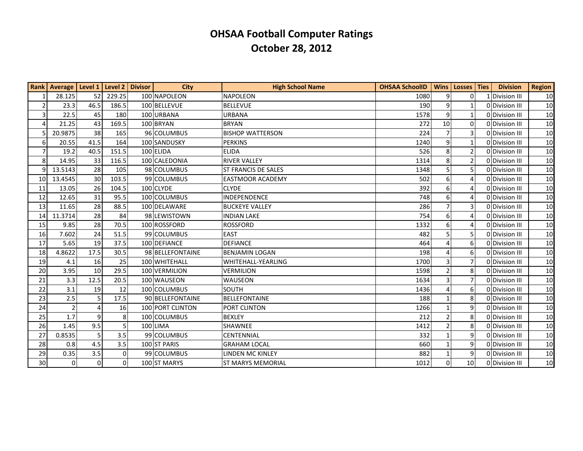|                  | Rank Average   Level 1 |             |          | Level 2 Divisor | <b>City</b>      | <b>High School Name</b>    | <b>OHSAA SchoolID</b> | <b>Wins</b>    | Losses   Ties   | <b>Division</b> | <b>Region</b>   |
|------------------|------------------------|-------------|----------|-----------------|------------------|----------------------------|-----------------------|----------------|-----------------|-----------------|-----------------|
| 1                | 28.125                 | 52          | 229.25   |                 | 100 NAPOLEON     | <b>NAPOLEON</b>            | 1080                  | 9              | $\overline{0}$  | 1 Division III  | 10 <sup>1</sup> |
| $\overline{2}$   | 23.3                   | 46.5        | 186.5    |                 | 100 BELLEVUE     | <b>BELLEVUE</b>            | 190                   | 9              | 1               | 0 Division III  | 10 <sup>1</sup> |
| $\overline{3}$   | 22.5                   | 45          | 180      |                 | 100 URBANA       | <b>URBANA</b>              | 1578                  | 9              | $\mathbf{1}$    | 0 Division III  | 10 <sup>1</sup> |
| $\overline{4}$   | 21.25                  | 43          | 169.5    |                 | 100 BRYAN        | <b>BRYAN</b>               | 272                   | 10             | 0               | 0 Division III  | 10 <sup>1</sup> |
| 5                | 20.9875                | 38          | 165      |                 | 96 COLUMBUS      | <b>BISHOP WATTERSON</b>    | 224                   |                | 3               | 0 Division III  | 10 <sup>1</sup> |
| $\boldsymbol{6}$ | 20.55                  | 41.5        | 164      |                 | 100 SANDUSKY     | <b>PERKINS</b>             | 1240                  | 9              | $\mathbf{1}$    | 0 Division III  | 10 <sup>1</sup> |
| $\overline{7}$   | 19.2                   | 40.5        | 151.5    |                 | 100 ELIDA        | <b>ELIDA</b>               | 526                   | 8              | $\overline{2}$  | 0 Division III  | 10 <sup>1</sup> |
| 8 <sup>1</sup>   | 14.95                  | 33          | 116.5    |                 | 100 CALEDONIA    | <b>RIVER VALLEY</b>        | 1314                  | 8              | $\overline{2}$  | 0 Division III  | 10 <sup>1</sup> |
| 9                | 13.5143                | 28          | 105      |                 | 98 COLUMBUS      | <b>ST FRANCIS DE SALES</b> | 1348                  | 5              | 5               | 0 Division III  | 10 <sup>1</sup> |
| 10               | 13.4545                | 30          | 103.5    |                 | 99 COLUMBUS      | <b>EASTMOOR ACADEMY</b>    | 502                   | 6              | $\overline{4}$  | 0 Division III  | 10 <sup>1</sup> |
| 11               | 13.05                  | 26          | 104.5    |                 | 100 CLYDE        | <b>CLYDE</b>               | 392                   | 6              |                 | 0 Division III  | 10 <sup>1</sup> |
| 12               | 12.65                  | 31          | 95.5     |                 | 100 COLUMBUS     | <b>INDEPENDENCE</b>        | 748                   | 6              | $\Delta$        | 0 Division III  | 10 <sup>1</sup> |
| 13               | 11.65                  | 28          | 88.5     |                 | 100 DELAWARE     | <b>BUCKEYE VALLEY</b>      | 286                   | $\overline{7}$ | 3               | 0 Division III  | 10 <sup>1</sup> |
| 14               | 11.3714                | 28          | 84       |                 | 98 LEWISTOWN     | <b>INDIAN LAKE</b>         | 754                   | 6              | 4               | 0 Division III  | 10              |
| 15               | 9.85                   | 28          | 70.5     |                 | 100 ROSSFORD     | <b>ROSSFORD</b>            | 1332                  | 6              | $\overline{4}$  | 0 Division III  | 10              |
| 16               | 7.602                  | 24          | 51.5     |                 | 99 COLUMBUS      | <b>EAST</b>                | 482                   | 5              | 5               | 0 Division III  | 10 <sup>1</sup> |
| 17               | 5.65                   | 19          | 37.5     |                 | 100 DEFIANCE     | <b>DEFIANCE</b>            | 464                   | Δ              | 6               | 0 Division III  | 10 <sup>1</sup> |
| 18               | 4.8622                 | 17.5        | 30.5     |                 | 98 BELLEFONTAINE | <b>BENJAMIN LOGAN</b>      | 198                   | 4              | 6               | 0 Division III  | 10 <sup>1</sup> |
| 19               | 4.1                    | 16          | 25       |                 | 100 WHITEHALL    | WHITEHALL-YEARLING         | 1700                  | 3              | 7               | 0 Division III  | 10 <sup>1</sup> |
| 20               | 3.95                   | 10          | 29.5     |                 | 100 VERMILION    | <b>VERMILION</b>           | 1598                  |                | 8               | 0 Division III  | 10              |
| 21               | 3.3                    | 12.5        | 20.5     |                 | 100 WAUSEON      | <b>WAUSEON</b>             | 1634                  | 3              | 7               | 0 Division III  | 10 <sup>1</sup> |
| 22               | 3.1                    | 19          | 12       |                 | 100 COLUMBUS     | SOUTH                      | 1436                  | $\Lambda$      | 6               | 0 Division III  | 10              |
| 23               | 2.5                    | 5           | 17.5     |                 | 90 BELLEFONTAINE | <b>BELLEFONTAINE</b>       | 188                   |                | 8               | 0 Division III  | 10 <sup>1</sup> |
| 24               | $\overline{2}$         | 4           | 16       |                 | 100 PORT CLINTON | PORT CLINTON               | 1266                  |                | 9               | 0 Division III  | 10              |
| 25               | 1.7                    | 9           | 8        |                 | 100 COLUMBUS     | <b>BEXLEY</b>              | 212                   | $\overline{2}$ | 8               | 0 Division III  | 10              |
| 26               | 1.45                   | 9.5         | 5        |                 | 100 LIMA         | <b>SHAWNEE</b>             | 1412                  | $\overline{2}$ | 8               | 0 Division III  | 10              |
| 27               | 0.8535                 | 5           | 3.5      |                 | 99 COLUMBUS      | <b>CENTENNIAL</b>          | 332                   |                | 9               | 0 Division III  | 10 <sup>1</sup> |
| 28               | 0.8                    | 4.5         | 3.5      |                 | 100 ST PARIS     | <b>GRAHAM LOCAL</b>        | 660                   | $\mathbf{1}$   | 9               | 0 Division III  | 10 <sup>1</sup> |
| 29               | 0.35                   | 3.5         |          |                 | 99 COLUMBUS      | LINDEN MC KINLEY           | 882                   |                | 9               | 0 Division III  | 10 <sup>1</sup> |
| $\overline{30}$  | 0                      | $\mathbf 0$ | $\Omega$ |                 | 100 ST MARYS     | <b>ST MARYS MEMORIAL</b>   | 1012                  | $\Omega$       | 10 <sup>1</sup> | 0 Division III  | 10              |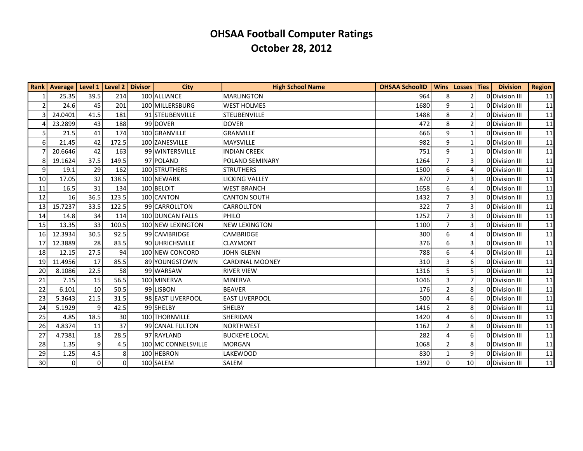|                | Rank   Average   Level 1   Level 2 |      |          | <b>Divisor</b> | <b>City</b>         | <b>High School Name</b> | <b>OHSAA SchoolID</b> | <b>Wins</b>    | Losses   Ties         | <b>Division</b> | <b>Region</b> |
|----------------|------------------------------------|------|----------|----------------|---------------------|-------------------------|-----------------------|----------------|-----------------------|-----------------|---------------|
| 1              | 25.35                              | 39.5 | 214      |                | 100 ALLIANCE        | <b>MARLINGTON</b>       | 964                   | 8              | $\overline{2}$        | 0 Division III  | 11            |
| 2              | 24.6                               | 45   | 201      |                | 100 MILLERSBURG     | <b>WEST HOLMES</b>      | 1680                  | 9              | 1                     | 0 Division III  | 11            |
| $\overline{3}$ | 24.0401                            | 41.5 | 181      |                | 91 STEUBENVILLE     | <b>STEUBENVILLE</b>     | 1488                  | 8              | $\overline{2}$        | 0 Division III  | 11            |
| 4              | 23.2899                            | 43   | 188      |                | 99 DOVER            | <b>DOVER</b>            | 472                   | 8              | $\overline{2}$        | 0 Division III  | 11            |
| 5 <sub>l</sub> | 21.5                               | 41   | 174      |                | 100 GRANVILLE       | GRANVILLE               | 666                   | $\mathsf{q}$   | $\mathbf{1}$          | 0 Division III  | 11            |
| 6              | 21.45                              | 42   | 172.5    |                | 100 ZANESVILLE      | <b>MAYSVILLE</b>        | 982                   | 9              | $\mathbf{1}$          | 0 Division III  | 11            |
| $\overline{7}$ | 20.6646                            | 42   | 163      |                | 99 WINTERSVILLE     | <b>INDIAN CREEK</b>     | 751                   | 9              | 1                     | 0 Division III  | 11            |
| 8 <sup>1</sup> | 19.1624                            | 37.5 | 149.5    |                | 97 POLAND           | POLAND SEMINARY         | 1264                  | $\overline{7}$ | 3                     | 0Division III   | 11            |
| 9              | 19.1                               | 29   | 162      |                | 100 STRUTHERS       | <b>STRUTHERS</b>        | 1500                  | 6              | $\boldsymbol{\Delta}$ | 0 Division III  | 11            |
| 10             | 17.05                              | 32   | 138.5    |                | 100 NEWARK          | <b>LICKING VALLEY</b>   | 870                   |                | 3                     | 0 Division III  | 11            |
| 11             | 16.5                               | 31   | 134      |                | 100 BELOIT          | <b>WEST BRANCH</b>      | 1658                  | 6              |                       | 0 Division III  | 11            |
| 12             | 16                                 | 36.5 | 123.5    |                | 100 CANTON          | <b>CANTON SOUTH</b>     | 1432                  |                | 3                     | 0 Division III  | 11            |
| 13             | 15.7237                            | 33.5 | 122.5    |                | 99 CARROLLTON       | CARROLLTON              | 322                   | $\overline{7}$ | 3                     | 0 Division III  | 11            |
| 14             | 14.8                               | 34   | 114      |                | 100 DUNCAN FALLS    | PHILO                   | 1252                  |                | 3                     | 0 Division III  | 11            |
| 15             | 13.35                              | 33   | 100.5    |                | 100 NEW LEXINGTON   | <b>NEW LEXINGTON</b>    | 1100                  |                | 3                     | 0 Division III  | 11            |
| 16             | 12.3934                            | 30.5 | 92.5     |                | 99 CAMBRIDGE        | <b>CAMBRIDGE</b>        | 300                   | 6              |                       | 0 Division III  | 11            |
| 17             | 12.3889                            | 28   | 83.5     |                | 90 UHRICHSVILLE     | <b>CLAYMONT</b>         | 376                   | 6              | 3                     | 0 Division III  | 11            |
| 18             | 12.15                              | 27.5 | 94       |                | 100 NEW CONCORD     | <b>JOHN GLENN</b>       | 788                   | 6              | $\overline{4}$        | 0 Division III  | 11            |
| 19             | 11.4956                            | 17   | 85.5     |                | 89 YOUNGSTOWN       | <b>CARDINAL MOONEY</b>  | 310                   | 3              | 6                     | 0 Division III  | 11            |
| 20             | 8.1086                             | 22.5 | 58       |                | 99 WARSAW           | <b>RIVER VIEW</b>       | 1316                  | 5              | 5                     | 0 Division III  | 11            |
| 21             | 7.15                               | 15   | 56.5     |                | 100 MINERVA         | <b>MINERVA</b>          | 1046                  |                | 7                     | 0 Division III  | 11            |
| 22             | 6.101                              | 10   | 50.5     |                | 99 LISBON           | <b>BEAVER</b>           | 176                   | $\mathcal{P}$  | 8                     | 0 Division III  | 11            |
| 23             | 5.3643                             | 21.5 | 31.5     |                | 98 EAST LIVERPOOL   | <b>EAST LIVERPOOL</b>   | 500                   | 4              | 6                     | 0 Division III  | 11            |
| 24             | 5.1929                             | 9    | 42.5     |                | 99 SHELBY           | <b>SHELBY</b>           | 1416                  | $\overline{2}$ | 8                     | 0 Division III  | 11            |
| 25             | 4.85                               | 18.5 | 30       |                | 100 THORNVILLE      | SHERIDAN                | 1420                  | $\Lambda$      | 6                     | 0 Division III  | 11            |
| 26             | 4.8374                             | 11   | 37       |                | 99 CANAL FULTON     | <b>NORTHWEST</b>        | 1162                  | $\overline{2}$ | 8                     | 0 Division III  | 11            |
| 27             | 4.7381                             | 18   | 28.5     |                | 97 RAYLAND          | <b>BUCKEYE LOCAL</b>    | 282                   |                | 6                     | 0 Division III  | 11            |
| 28             | 1.35                               | 9    | 4.5      |                | 100 MC CONNELSVILLE | <b>MORGAN</b>           | 1068                  | $\overline{2}$ | 8                     | 0 Division III  | 11            |
| 29             | 1.25                               | 4.5  | 8        |                | 100 HEBRON          | <b>LAKEWOOD</b>         | 830                   |                | 9                     | 0 Division III  | 11            |
| 30             | $\Omega$                           | 0    | $\Omega$ |                | 100 SALEM           | SALEM                   | 1392                  | $\Omega$       | 10 <sup>1</sup>       | 0 Division III  | 11            |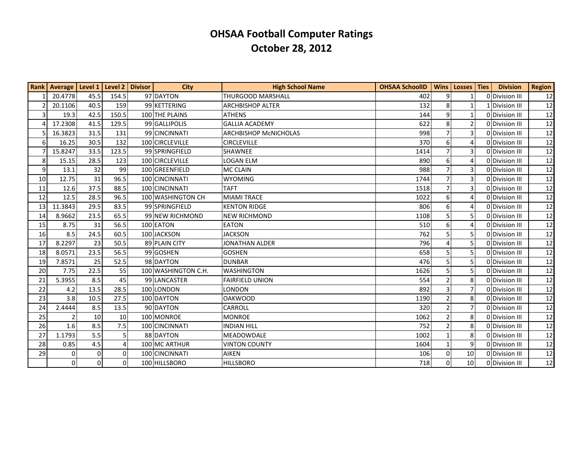|                | <b>Rank   Average   Level 1</b> |                | Level 2 Divisor | <b>City</b>         | <b>High School Name</b>      | <b>OHSAA SchoolID</b> | <b>Wins</b>           | Losses   Ties  | <b>Division</b> | <b>Region</b> |
|----------------|---------------------------------|----------------|-----------------|---------------------|------------------------------|-----------------------|-----------------------|----------------|-----------------|---------------|
|                | 20.4778                         | 45.5           | 154.5           | 97 DAYTON           | <b>THURGOOD MARSHALL</b>     | 402                   | 9                     |                | ODivision III   | 12            |
| $\overline{2}$ | 20.1106                         | 40.5           | 159             | 99 KETTERING        | <b>ARCHBISHOP ALTER</b>      | 132                   | 8                     | 1              | 1 Division III  | 12            |
| $\overline{3}$ | 19.3                            | 42.5           | 150.5           | 100 THE PLAINS      | <b>ATHENS</b>                | 144                   | 9                     | $\mathbf{1}$   | 0 Division III  | 12            |
| 4              | 17.2308                         | 41.5           | 129.5           | 99 GALLIPOLIS       | <b>GALLIA ACADEMY</b>        | 622                   | 8                     | $\overline{2}$ | 0 Division III  | 12            |
| 5              | 16.3823                         | 31.5           | 131             | 99 CINCINNATI       | <b>ARCHBISHOP MCNICHOLAS</b> | 998                   | $\overline{7}$        | 3              | 0 Division III  | 12            |
| 6              | 16.25                           | 30.5           | 132             | 100 CIRCLEVILLE     | <b>CIRCLEVILLE</b>           | 370                   | 6                     | 4              | 0 Division III  | 12            |
| 7              | 15.8247                         | 33.5           | 123.5           | 99 SPRINGFIELD      | <b>SHAWNEE</b>               | 1414                  | $\overline{7}$        | 3              | 0 Division III  | 12            |
| 8 <sup>1</sup> | 15.15                           | 28.5           | 123             | 100 CIRCLEVILLE     | <b>LOGAN ELM</b>             | 890                   | 6                     | 4              | 0 Division III  | 12            |
| 9              | 13.1                            | 32             | 99              | 100 GREENFIELD      | <b>MC CLAIN</b>              | 988                   | 7                     | 3              | 0 Division III  | 12            |
| 10             | 12.75                           | 31             | 96.5            | 100 CINCINNATI      | <b>WYOMING</b>               | 1744                  | $\overline{7}$        | 3              | 0 Division III  | 12            |
| 11             | 12.6                            | 37.5           | 88.5            | 100 CINCINNATI      | <b>TAFT</b>                  | 1518                  | $\overline{7}$        | 3              | 0 Division III  | 12            |
| 12             | 12.5                            | 28.5           | 96.5            | 100 WASHINGTON CH   | <b>MIAMI TRACE</b>           | 1022                  | 6                     | 4              | 0 Division III  | 12            |
| 13             | 11.3843                         | 29.5           | 83.5            | 99 SPRINGFIELD      | <b>KENTON RIDGE</b>          | 806                   | 6                     | 4              | 0 Division III  | 12            |
| 14             | 8.9662                          | 23.5           | 65.5            | 99 NEW RICHMOND     | <b>NEW RICHMOND</b>          | 1108                  | 5                     | 5              | 0 Division III  | 12            |
| 15             | 8.75                            | 31             | 56.5            | 100 EATON           | <b>EATON</b>                 | 510                   | 6                     | 4              | 0 Division III  | 12            |
| 16             | 8.5                             | 24.5           | 60.5            | 100 JACKSON         | <b>JACKSON</b>               | 762                   | 5                     | 5              | 0 Division III  | 12            |
| 17             | 8.2297                          | 23             | 50.5            | 89 PLAIN CITY       | <b>JONATHAN ALDER</b>        | 796                   | $\boldsymbol{\Delta}$ | 5              | 0 Division III  | 12            |
| 18             | 8.0571                          | 23.5           | 56.5            | 99 GOSHEN           | <b>GOSHEN</b>                | 658                   | 5                     | 5              | 0 Division III  | 12            |
| 19             | 7.8571                          | 25             | 52.5            | 98 DAYTON           | <b>DUNBAR</b>                | 476                   | 5                     | 5              | 0 Division III  | 12            |
| 20             | 7.75                            | 22.5           | 55              | 100 WASHINGTON C.H. | <b>WASHINGTON</b>            | 1626                  | 5                     | 5              | 0 Division III  | 12            |
| 21             | 5.3955                          | 8.5            | 45              | 99 LANCASTER        | <b>FAIRFIELD UNION</b>       | 554                   | $\overline{2}$        | 8              | 0 Division III  | 12            |
| 22             | 4.2                             | 13.5           | 28.5            | 100 LONDON          | LONDON                       | 892                   | 3                     | 7              | 0 Division III  | 12            |
| 23             | 3.8                             | 10.5           | 27.5            | 100 DAYTON          | <b>OAKWOOD</b>               | 1190                  | $\overline{2}$        | 8              | ODivision III   | 12            |
| 24             | 2.4444                          | 8.5            | 13.5            | 90 DAYTON           | CARROLL                      | 320                   | $\overline{2}$        | 7              | 0 Division III  | 12            |
| 25             |                                 | 10             | 10              | 100 MONROE          | <b>MONROE</b>                | 1062                  | $\overline{2}$        | 8              | 0 Division III  | 12            |
| 26             | 1.6                             | 8.5            | 7.5             | 100 CINCINNATI      | <b>INDIAN HILL</b>           | 752                   | $\overline{2}$        | 8              | 0 Division III  | 12            |
| 27             | 1.1793                          | 5.5            |                 | 88 DAYTON           | <b>MEADOWDALE</b>            | 1002                  |                       | 8              | 0 Division III  | 12            |
| 28             | 0.85                            | 4.5            |                 | 100 MC ARTHUR       | <b>VINTON COUNTY</b>         | 1604                  | $\mathbf{1}$          | 9              | 0 Division III  | 12            |
| 29             | 0                               | $\mathbf 0$    | $\Omega$        | 100 CINCINNATI      | <b>AIKEN</b>                 | 106                   | 0                     | 10             | 0 Division III  | 12            |
|                | $\Omega$                        | $\overline{0}$ | $\Omega$        | 100 HILLSBORO       | <b>HILLSBORO</b>             | 718                   | $\Omega$              | 10             | ODivision III   | 12            |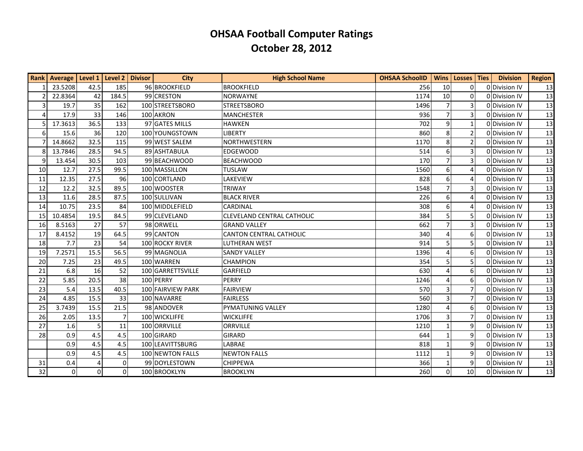|                | Rank   Average   Level 1 |          | Level 2   Divisor | <b>City</b>       | <b>High School Name</b>           | <b>OHSAA SchoolID</b> | <b>Wins</b>    | Losses   Ties   | <b>Division</b> | <b>Region</b> |
|----------------|--------------------------|----------|-------------------|-------------------|-----------------------------------|-----------------------|----------------|-----------------|-----------------|---------------|
|                | 23.5208                  | 42.5     | 185               | 96 BROOKFIELD     | <b>BROOKFIELD</b>                 | 256                   | 10             | 0               | 0 Division IV   | 13            |
| $\overline{2}$ | 22.8364                  | 42       | 184.5             | 99 CRESTON        | <b>NORWAYNE</b>                   | 1174                  | 10             | 0               | 0 Division IV   | 13            |
| $\overline{3}$ | 19.7                     | 35       | 162               | 100 STREETSBORO   | <b>STREETSBORO</b>                | 1496                  |                | 3               | 0 Division IV   | 13            |
| 4              | 17.9                     | 33       | 146               | 100 AKRON         | <b>MANCHESTER</b>                 | 936                   |                | 3               | 0 Division IV   | 13            |
| 5 <sub>l</sub> | 17.3613                  | 36.5     | 133               | 97 GATES MILLS    | <b>HAWKEN</b>                     | 702                   | 9              | $\mathbf{1}$    | ODDivision IV   | 13            |
| 6 <sup>1</sup> | 15.6                     | 36       | 120               | 100 YOUNGSTOWN    | <b>LIBERTY</b>                    | 860                   | 8              | $\overline{2}$  | 0 Division IV   | 13            |
|                | 14.8662                  | 32.5     | 115               | 99 WEST SALEM     | <b>NORTHWESTERN</b>               | 1170                  | 8              | $\overline{2}$  | 0 Division IV   | 13            |
| 8              | 13.7846                  | 28.5     | 94.5              | 89 ASHTABULA      | <b>EDGEWOOD</b>                   | 514                   | 6              | $\overline{3}$  | 0 Division IV   | 13            |
| 9              | 13.454                   | 30.5     | 103               | 99 BEACHWOOD      | <b>BEACHWOOD</b>                  | 170                   | $\overline{7}$ | 3               | 0 Division IV   | 13            |
| 10             | 12.7                     | 27.5     | 99.5              | 100 MASSILLON     | <b>TUSLAW</b>                     | 1560                  | 6              |                 | 0 Division IV   | 13            |
| 11             | 12.35                    | 27.5     | 96                | 100 CORTLAND      | <b>LAKEVIEW</b>                   | 828                   | 6              | $\Delta$        | 0 Division IV   | 13            |
| 12             | 12.2                     | 32.5     | 89.5              | 100 WOOSTER       | <b>TRIWAY</b>                     | 1548                  |                | 3               | 0 Division IV   | 13            |
| 13             | 11.6                     | 28.5     | 87.5              | 100 SULLIVAN      | <b>BLACK RIVER</b>                | 226                   | 6              | $\overline{A}$  | 0 Division IV   | 13            |
| 14             | 10.75                    | 23.5     | 84                | 100 MIDDLEFIELD   | CARDINAL                          | 308                   | 6              | 4               | 0 Division IV   | 13            |
| 15             | 10.4854                  | 19.5     | 84.5              | 99 CLEVELAND      | <b>CLEVELAND CENTRAL CATHOLIC</b> | 384                   | 5              | 5               | 0 Division IV   | 13            |
| 16             | 8.5163                   | 27       | 57                | 98 ORWELL         | <b>GRAND VALLEY</b>               | 662                   | 7              | 3               | 0 Division IV   | 13            |
| 17             | 8.4152                   | 19       | 64.5              | 99 CANTON         | <b>CANTON CENTRAL CATHOLIC</b>    | 340                   |                | 6               | 0 Division IV   | 13            |
| 18             | 7.7                      | 23       | 54                | 100 ROCKY RIVER   | <b>LUTHERAN WEST</b>              | 914                   | 5              | 5               | 0 Division IV   | 13            |
| 19             | 7.2571                   | 15.5     | 56.5              | 99 MAGNOLIA       | <b>SANDY VALLEY</b>               | 1396                  |                | 6               | 0 Division IV   | 13            |
| 20             | 7.25                     | 23       | 49.5              | 100 WARREN        | <b>CHAMPION</b>                   | 354                   |                | 5               | 0 Division IV   | 13            |
| 21             | 6.8                      | 16       | 52                | 100 GARRETTSVILLE | GARFIELD                          | 630                   |                | 6               | 0 Division IV   | 13            |
| 22             | 5.85                     | 20.5     | 38                | 100 PERRY         | PERRY                             | 1246                  |                | 6               | 0 Division IV   | 13            |
| 23             | 5.4                      | 13.5     | 40.5              | 100 FAIRVIEW PARK | <b>FAIRVIEW</b>                   | 570                   | 3              | 7               | 0 Division IV   | 13            |
| 24             | 4.85                     | 15.5     | 33                | 100 NAVARRE       | <b>FAIRLESS</b>                   | 560                   | 3              | 7               | 0 Division IV   | 13            |
| 25             | 3.7439                   | 15.5     | 21.5              | 98 ANDOVER        | PYMATUNING VALLEY                 | 1280                  | 4              | 6               | 0 Division IV   | 13            |
| 26             | 2.05                     | 13.5     |                   | 100 WICKLIFFE     | <b>WICKLIFFE</b>                  | 1706                  | 3              | 7               | 0 Division IV   | 13            |
| 27             | 1.6                      | 5        | 11                | 100 ORRVILLE      | ORRVILLE                          | 1210                  |                | 9               | 0 Division IV   | 13            |
| 28             | 0.9                      | 4.5      | 4.5               | 100 GIRARD        | <b>GIRARD</b>                     | 644                   |                | 9               | 0 Division IV   | 13            |
|                | 0.9                      | 4.5      | 4.5               | 100 LEAVITTSBURG  | LABRAE                            | 818                   |                | 9               | 0 Division IV   | 13            |
|                | 0.9                      | 4.5      | 4.5               | 100 NEWTON FALLS  | <b>NEWTON FALLS</b>               | 1112                  |                | 9               | 0 Division IV   | 13            |
| 31             | 0.4                      | 4        | $\Omega$          | 99 DOYLESTOWN     | <b>CHIPPEWA</b>                   | 366                   |                | 9               | 0 Division IV   | 13            |
| 32             | $\mathbf 0$              | $\Omega$ | $\Omega$          | 100 BROOKLYN      | <b>BROOKLYN</b>                   | 260                   | $\Omega$       | 10 <sup>1</sup> | 0 Division IV   | 13            |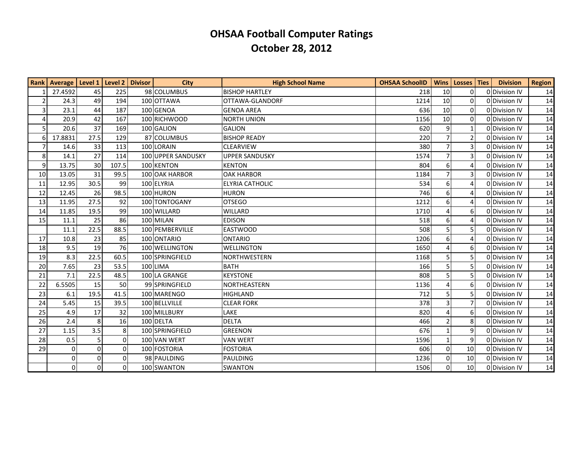|                  | Rank   Average   Level 1   Level 2   Divisor |                 |          | <b>City</b>        | <b>High School Name</b> | <b>OHSAA SchoolID</b> | Wins           | Losses Ties     | <b>Division</b> | <b>Region</b> |
|------------------|----------------------------------------------|-----------------|----------|--------------------|-------------------------|-----------------------|----------------|-----------------|-----------------|---------------|
|                  | 27.4592                                      | 45              | 225      | 98 COLUMBUS        | <b>BISHOP HARTLEY</b>   | 218                   | 10             | 0               | 0 Division IV   | 14            |
| $\overline{2}$   | 24.3                                         | 49              | 194      | 100 OTTAWA         | OTTAWA-GLANDORF         | 1214                  | 10             | 0               | 0 Division IV   | 14            |
| $\overline{3}$   | 23.1                                         | 44              | 187      | 100 GENOA          | <b>GENOA AREA</b>       | 636                   | 10             | $\Omega$        | 0 Division IV   | 14            |
| $\overline{4}$   | 20.9                                         | 42              | 167      | 100 RICHWOOD       | <b>NORTH UNION</b>      | 1156                  | 10             | $\overline{0}$  | 0Division IV    | 14            |
| 5 <sup>1</sup>   | 20.6                                         | 37              | 169      | 100 GALION         | <b>GALION</b>           | 620                   | 9              |                 | 0 Division IV   | 14            |
| $6 \overline{6}$ | 17.8831                                      | 27.5            | 129      | 87 COLUMBUS        | <b>BISHOP READY</b>     | 220                   | $\overline{7}$ | $\overline{2}$  | 0 Division IV   | 14            |
| $\overline{7}$   | 14.6                                         | 33              | 113      | 100 LORAIN         | <b>CLEARVIEW</b>        | 380                   | $\overline{7}$ | 3               | 0 Division IV   | 14            |
| 8 <sup>°</sup>   | 14.1                                         | 27              | 114      | 100 UPPER SANDUSKY | <b>UPPER SANDUSKY</b>   | 1574                  | $\overline{7}$ | 3               | 0 Division IV   | 14            |
| 9                | 13.75                                        | 30 <sup>1</sup> | 107.5    | 100 KENTON         | <b>KENTON</b>           | 804                   | 6              | 4               | ODDivision IV   | 14            |
| 10               | 13.05                                        | 31              | 99.5     | 100 OAK HARBOR     | <b>OAK HARBOR</b>       | 1184                  | $\overline{7}$ | 3               | ODDivision IV   | 14            |
| 11               | 12.95                                        | 30.5            | 99       | 100 ELYRIA         | <b>ELYRIA CATHOLIC</b>  | 534                   | 6              | 4               | 0 Division IV   | 14            |
| 12               | 12.45                                        | 26              | 98.5     | 100 HURON          | <b>HURON</b>            | 746                   | 6              | 4               | 0 Division IV   | 14            |
| 13               | 11.95                                        | 27.5            | 92       | 100 TONTOGANY      | <b>OTSEGO</b>           | 1212                  | 6              | 4               | 0 Division IV   | 14            |
| 14               | 11.85                                        | 19.5            | 99       | 100 WILLARD        | WILLARD                 | 1710                  | $\overline{4}$ | 6               | 0 Division IV   | 14            |
| 15               | 11.1                                         | 25              | 86       | 100 MILAN          | <b>EDISON</b>           | 518                   | 6              | 4               | 0 Division IV   | 14            |
|                  | 11.1                                         | 22.5            | 88.5     | 100 PEMBERVILLE    | <b>EASTWOOD</b>         | 508                   | 5              | 5               | 0 Division IV   | 14            |
| 17               | 10.8                                         | 23              | 85       | 100 ONTARIO        | <b>ONTARIO</b>          | 1206                  | 6              | 4               | 0Division IV    | 14            |
| 18               | 9.5                                          | 19              | 76       | 100 WELLINGTON     | <b>WELLINGTON</b>       | 1650                  | $\overline{4}$ | 6               | 0 Division IV   | 14            |
| 19               | 8.3                                          | 22.5            | 60.5     | 100 SPRINGFIELD    | <b>NORTHWESTERN</b>     | 1168                  | 5              | 5               | 0 Division IV   | 14            |
| 20               | 7.65                                         | 23              | 53.5     | 100 LIMA           | <b>BATH</b>             | 166                   | 5              | 5               | 0 Division IV   | 14            |
| 21               | 7.1                                          | 22.5            | 48.5     | 100 LA GRANGE      | <b>KEYSTONE</b>         | 808                   | 5              | 5               | 0 Division IV   | 14            |
| 22               | 6.5505                                       | 15              | 50       | 99 SPRINGFIELD     | NORTHEASTERN            | 1136                  | $\overline{4}$ | 6               | 0 Division IV   | 14            |
| 23               | 6.1                                          | 19.5            | 41.5     | 100 MARENGO        | <b>HIGHLAND</b>         | 712                   | 5              | 5               | 0 Division IV   | 14            |
| 24               | 5.45                                         | 15              | 39.5     | 100 BELLVILLE      | <b>CLEAR FORK</b>       | 378                   | 3              | 7               | 0 Division IV   | 14            |
| 25               | 4.9                                          | 17              | 32       | 100 MILLBURY       | LAKE                    | 820                   | $\overline{4}$ | 6               | 0 Division IV   | 14            |
| 26               | 2.4                                          | 8               | 16       | 100 DELTA          | <b>DELTA</b>            | 466                   | $\overline{2}$ | 8               | 0 Division IV   | 14            |
| 27               | 1.15                                         | 3.5             | 8        | 100 SPRINGFIELD    | <b>GREENON</b>          | 676                   | $\mathbf{1}$   | 9               | 0 Division IV   | 14            |
| 28               | 0.5                                          | 5 <sup>1</sup>  | $\Omega$ | 100 VAN WERT       | <b>VAN WERT</b>         | 1596                  | $\mathbf{1}$   | 9               | 0 Division IV   | 14            |
| 29               | $\overline{0}$                               | 0               | $\Omega$ | 100 FOSTORIA       | <b>FOSTORIA</b>         | 606                   | $\mathbf 0$    | 10              | 0 Division IV   | 14            |
|                  | 0                                            | 0               | $\Omega$ | 98 PAULDING        | PAULDING                | 1236                  | 0              | 10              | 0 Division IV   | 14            |
|                  | $\overline{0}$                               | $\overline{0}$  | $\Omega$ | 100 SWANTON        | <b>SWANTON</b>          | 1506                  | $\Omega$       | 10 <sup>1</sup> | 0 Division IV   | 14            |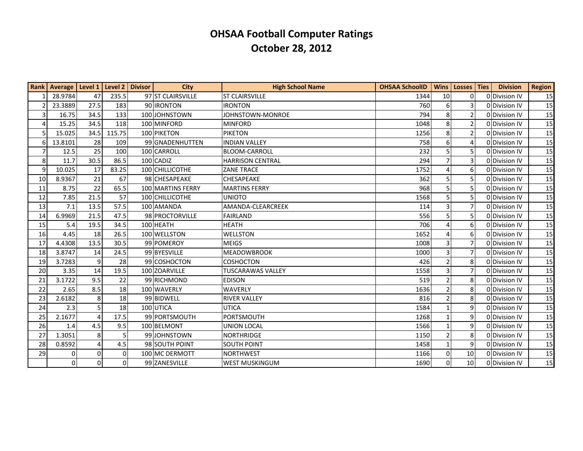|                | Rank   Average   Level 1   Level 2   Divisor |                |          | City              | <b>High School Name</b>  | <b>OHSAA SchoolID</b> | <b>Wins</b>    | Losses Ties     | <b>Division</b> | <b>Region</b> |
|----------------|----------------------------------------------|----------------|----------|-------------------|--------------------------|-----------------------|----------------|-----------------|-----------------|---------------|
|                | 28.9784                                      | 47             | 235.5    | 97 ST CLAIRSVILLE | <b>ST CLAIRSVILLE</b>    | 1344                  | 10             | $\Omega$        | 0 Division IV   | 15            |
| $\overline{2}$ | 23.3889                                      | 27.5           | 183      | 90 IRONTON        | <b>IRONTON</b>           | 760                   | 6              | 3               | 0 Division IV   | 15            |
| $\overline{3}$ | 16.75                                        | 34.5           | 133      | 100 JOHNSTOWN     | JOHNSTOWN-MONROE         | 794                   | 8              | $\overline{2}$  | 0 Division IV   | 15            |
| 4              | 15.25                                        | 34.5           | 118      | 100 MINFORD       | <b>MINFORD</b>           | 1048                  | 8              | $\overline{2}$  | 0 Division IV   | 15            |
| 5              | 15.025                                       | 34.5           | 115.75   | 100 PIKETON       | <b>PIKETON</b>           | 1256                  | 8              | $\overline{2}$  | 0 Division IV   | 15            |
| 6              | 13.8101                                      | 28             | 109      | 99 GNADENHUTTEN   | <b>INDIAN VALLEY</b>     | 758                   | 6              |                 | 0 Division IV   | 15            |
| $\overline{7}$ | 12.5                                         | 25             | 100      | 100 CARROLL       | <b>BLOOM-CARROLL</b>     | 232                   | 5              | 5               | 0 Division IV   | 15            |
| 8 <sup>1</sup> | 11.7                                         | 30.5           | 86.5     | 100 CADIZ         | <b>HARRISON CENTRAL</b>  | 294                   | 7              | 3               | 0 Division IV   | 15            |
| 9              | 10.025                                       | 17             | 83.25    | 100 CHILLICOTHE   | <b>ZANE TRACE</b>        | 1752                  |                | 6               | 0 Division IV   | 15            |
| 10             | 8.9367                                       | 21             | 67       | 98 CHESAPEAKE     | CHESAPEAKE               | 362                   | 5              | 5               | 0 Division IV   | 15            |
| 11             | 8.75                                         | 22             | 65.5     | 100 MARTINS FERRY | <b>MARTINS FERRY</b>     | 968                   | 5              | 5               | 0 Division IV   | 15            |
| 12             | 7.85                                         | 21.5           | 57       | 100 CHILLICOTHE   | <b>UNIOTO</b>            | 1568                  | 5              | 5               | 0 Division IV   | 15            |
| 13             | 7.1                                          | 13.5           | 57.5     | 100 AMANDA        | AMANDA-CLEARCREEK        | 114                   | 3              | 7               | 0 Division IV   | 15            |
| 14             | 6.9969                                       | 21.5           | 47.5     | 98 PROCTORVILLE   | <b>FAIRLAND</b>          | 556                   | 5              | 5               | 0 Division IV   | 15            |
| 15             | 5.4                                          | 19.5           | 34.5     | 100 HEATH         | <b>HEATH</b>             | 706                   | $\Delta$       | 6               | 0 Division IV   | 15            |
| 16             | 4.45                                         | 18             | 26.5     | 100 WELLSTON      | <b>WELLSTON</b>          | 1652                  | 4              | 6               | 0 Division IV   | 15            |
| 17             | 4.4308                                       | 13.5           | 30.5     | 99 POMEROY        | <b>MEIGS</b>             | 1008                  | 3              | 7               | 0 Division IV   | 15            |
| 18             | 3.8747                                       | 14             | 24.5     | 99 BYESVILLE      | <b>MEADOWBROOK</b>       | 1000                  | $\overline{3}$ | $\overline{7}$  | 0 Division IV   | 15            |
| 19             | 3.7283                                       | 9              | 28       | 99 COSHOCTON      | <b>COSHOCTON</b>         | 426                   | $\overline{2}$ | 8               | 0 Division IV   | 15            |
| 20             | 3.35                                         | 14             | 19.5     | 100 ZOARVILLE     | <b>TUSCARAWAS VALLEY</b> | 1558                  | 3              | $\overline{7}$  | 0 Division IV   | 15            |
| 21             | 3.1722                                       | 9.5            | 22       | 99 RICHMOND       | <b>EDISON</b>            | 519                   |                | 8               | 0 Division IV   | 15            |
| 22             | 2.65                                         | 8.5            | 18       | 100 WAVERLY       | <b>WAVERLY</b>           | 1636                  | $\mathcal{P}$  | 8               | 0 Division IV   | 15            |
| 23             | 2.6182                                       | 8              | 18       | 99 BIDWELL        | <b>RIVER VALLEY</b>      | 816                   | $\overline{2}$ | 8               | 0 Division IV   | 15            |
| 24             | 2.3                                          | 5              | 18       | 100 UTICA         | <b>UTICA</b>             | 1584                  |                | 9               | 0 Division IV   | 15            |
| 25             | 2.1677                                       | $\Delta$       | 17.5     | 99 PORTSMOUTH     | PORTSMOUTH               | 1268                  |                | 9               | 0 Division IV   | 15            |
| 26             | 1.4                                          | 4.5            | 9.5      | 100 BELMONT       | <b>UNION LOCAL</b>       | 1566                  |                | 9               | 0 Division IV   | 15            |
| 27             | 1.3051                                       | 8              |          | 99 JOHNSTOWN      | <b>NORTHRIDGE</b>        | 1150                  |                | 8               | 0 Division IV   | 15            |
| 28             | 0.8592                                       | $\overline{4}$ | 4.5      | 98 SOUTH POINT    | <b>SOUTH POINT</b>       | 1458                  | $\mathbf{1}$   | 9               | 0 Division IV   | 15            |
| 29             | 0                                            | $\mathbf 0$    | $\Omega$ | 100 MC DERMOTT    | <b>NORTHWEST</b>         | 1166                  | $\Omega$       | 10              | 0 Division IV   | 15            |
|                | $\Omega$                                     | $\Omega$       | $\Omega$ | 99 ZANESVILLE     | <b>WEST MUSKINGUM</b>    | 1690                  | $\Omega$       | 10 <sup>1</sup> | 0 Division IV   | 15            |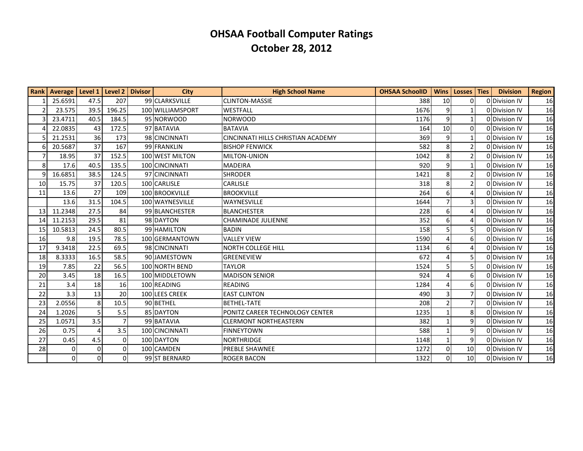|                 | <b>Rank   Average   Level 1</b> |                | Level 2  | <b>Divisor</b> | City             | <b>High School Name</b>            | <b>OHSAA SchoolID</b> |                 | Wins   Losses   Ties | <b>Division</b> | <b>Region</b> |
|-----------------|---------------------------------|----------------|----------|----------------|------------------|------------------------------------|-----------------------|-----------------|----------------------|-----------------|---------------|
|                 | 25.6591                         | 47.5           | 207      |                | 99 CLARKSVILLE   | <b>CLINTON-MASSIE</b>              | 388                   | 10 <sup>1</sup> | 0                    | 0Division IV    | 16            |
| $\mathfrak{p}$  | 23.575                          | 39.5           | 196.25   |                | 100 WILLIAMSPORT | <b>WESTFALL</b>                    | 1676                  | $\vert 9 \vert$ | 1                    | 0Division IV    | 16            |
| ς               | 23.4711                         | 40.5           | 184.5    |                | 95 NORWOOD       | <b>NORWOOD</b>                     | 1176                  | 9               |                      | 0 Division IV   | 16            |
|                 | 22.0835                         | 43             | 172.5    |                | 97 BATAVIA       | BATAVIA                            | 164                   | 10              | 0                    | 0 Division IV   | 16            |
|                 | 21.2531                         | 36             | 173      |                | 98 CINCINNATI    | CINCINNATI HILLS CHRISTIAN ACADEMY | 369                   | 9               |                      | 0 Division IV   | 16            |
| 6               | 20.5687                         | 37             | 167      |                | 99 FRANKLIN      | <b>IBISHOP FENWICK</b>             | 582                   | 8               | $\overline{2}$       | 0 Division IV   | 16            |
| $\overline{7}$  | 18.95                           | 37             | 152.5    |                | 100 WEST MILTON  | <b>MILTON-UNION</b>                | 1042                  | 8               | $\overline{2}$       | 0 Division IV   | 16            |
| 8               | 17.6                            | 40.5           | 135.5    |                | 100 CINCINNATI   | <b>MADEIRA</b>                     | 920                   | 9               |                      | 0 Division IV   | 16            |
| $\overline{9}$  | 16.6851                         | 38.5           | 124.5    |                | 97 CINCINNATI    | <b>SHRODER</b>                     | 1421                  | 8               | $\overline{2}$       | 0 Division IV   | 16            |
| 10              | 15.75                           | 37             | 120.5    |                | 100 CARLISLE     | <b>CARLISLE</b>                    | 318                   | 8               | 2                    | ODDivision IV   | 16            |
| 11              | 13.6                            | 27             | 109      |                | 100 BROOKVILLE   | <b>BROOKVILLE</b>                  | 264                   | 6               | 4                    | 0 Division IV   | 16            |
|                 | 13.6                            | 31.5           | 104.5    |                | 100 WAYNESVILLE  | WAYNESVILLE                        | 1644                  | 7               | 3                    | 0 Division IV   | 16            |
| 13 <sup>1</sup> | 11.2348                         | 27.5           | 84       |                | 99 BLANCHESTER   | BLANCHESTER                        | 228                   | 6               | 4                    | 0Division IV    | 16            |
| 14              | 11.2153                         | 29.5           | 81       |                | 98 DAYTON        | <b>CHAMINADE JULIENNE</b>          | 352                   | 6               | 4                    | 0 Division IV   | 16            |
| 15              | 10.5813                         | 24.5           | 80.5     |                | 99 HAMILTON      | BADIN                              | 158                   | 5               | 5                    | 0Division IV    | 16            |
| 16              | 9.8                             | 19.5           | 78.5     |                | 100 GERMANTOWN   | <b>VALLEY VIEW</b>                 | 1590                  | $\Delta$        | 6                    | 0 Division IV   | 16            |
| 17              | 9.3418                          | 22.5           | 69.5     |                | 98 CINCINNATI    | <b>NORTH COLLEGE HILL</b>          | 1134                  | 6               | Δ                    | 0 Division IV   | 16            |
| 18              | 8.3333                          | 16.5           | 58.5     |                | 90 JAMESTOWN     | <b>GREENEVIEW</b>                  | 672                   | 4               | 5.                   | 0 Division IV   | 16            |
| 19              | 7.85                            | 22             | 56.5     |                | 100 NORTH BEND   | <b>TAYLOR</b>                      | 1524                  | 5               | 5                    | 0 Division IV   | 16            |
| 20              | 3.45                            | 18             | 16.5     |                | 100 MIDDLETOWN   | <b>MADISON SENIOR</b>              | 924                   |                 | 6                    | 0 Division IV   | 16            |
| 21              | 3.4                             | 18             | 16       |                | 100 READING      | READING                            | 1284                  |                 | 6                    | 0 Division IV   | 16            |
| 22              | 3.3                             | 13             | 20       |                | 100 LEES CREEK   | <b>EAST CLINTON</b>                | 490                   | 3               |                      | 0 Division IV   | 16            |
| 23              | 2.0556                          | 8              | 10.5     |                | 90 BETHEL        | <b>BETHEL-TATE</b>                 | 208                   | $\overline{2}$  | $\overline{7}$       | 0 Division IV   | 16            |
| 24              | 1.2026                          | 5              | 5.5      |                | 85 DAYTON        | PONITZ CAREER TECHNOLOGY CENTER    | 1235                  |                 | 8                    | 0 Division IV   | 16            |
| 25              | 1.0571                          | 3.5            |          |                | 99 BATAVIA       | CLERMONT NORTHEASTERN              | 382                   | $\mathbf{1}$    | 9                    | 0 Division IV   | 16            |
| 26              | 0.75                            |                | 3.5      |                | 100 CINCINNATI   | <b>FINNEYTOWN</b>                  | 588                   | 1               | 9                    | 0 Division IV   | 16            |
| 27              | 0.45                            | 4.5            | $\Omega$ |                | 100 DAYTON       | <b>NORTHRIDGE</b>                  | 1148                  | $\mathbf{1}$    | 9                    | 0 Division IV   | 16            |
| 28              | 0                               | $\Omega$       | $\Omega$ |                | 100 CAMDEN       | <b>PREBLE SHAWNEE</b>              | 1272                  | $\Omega$        | 10                   | 0 Division IV   | 16            |
|                 | $\mathbf{0}$                    | $\overline{0}$ | $\Omega$ |                | 99 ST BERNARD    | <b>ROGER BACON</b>                 | 1322                  | $\Omega$        | 10 <sup>1</sup>      | 0Division IV    | 16            |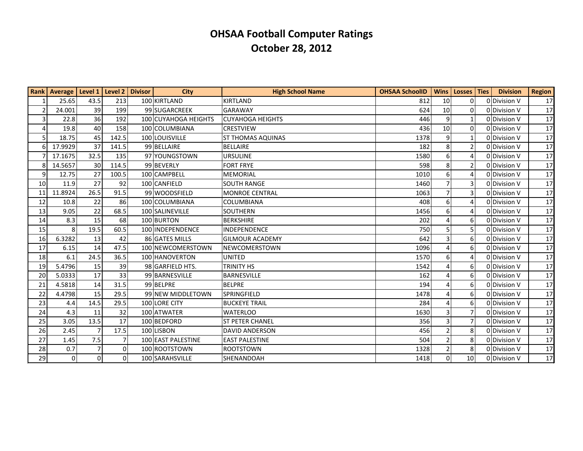|                | Rank   Average   Level 1   Level 2   Divisor |                |          | <b>City</b>                 | <b>High School Name</b>  | <b>OHSAA SchoolID</b> | <b>Wins</b>    | Losses   Ties   | <b>Division</b> | <b>Region</b>   |
|----------------|----------------------------------------------|----------------|----------|-----------------------------|--------------------------|-----------------------|----------------|-----------------|-----------------|-----------------|
|                | 25.65                                        | 43.5           | 213      | 100 KIRTLAND                | <b>KIRTLAND</b>          | 812                   | 10             | $\Omega$        | 0 Division V    | 17              |
| $\overline{2}$ | 24.001                                       | 39             | 199      | 99 SUGARCREEK               | <b>GARAWAY</b>           | 624                   | 10             | $\Omega$        | 0 Division V    | 17              |
| 3              | 22.8                                         | 36             | 192      | <b>100 CUYAHOGA HEIGHTS</b> | <b>CUYAHOGA HEIGHTS</b>  | 446                   | 9              |                 | 0 Division V    | 17 <sup>1</sup> |
| $\Delta$       | 19.8                                         | 40             | 158      | 100 COLUMBIANA              | <b>CRESTVIEW</b>         | 436                   | 10             | $\Omega$        | 0 Division V    | 17              |
| 5              | 18.75                                        | 45             | 142.5    | 100 LOUISVILLE              | <b>ST THOMAS AQUINAS</b> | 1378                  | 9              |                 | 0 Division V    | 17              |
|                | 17.9929                                      | 37             | 141.5    | 99 BELLAIRE                 | <b>BELLAIRE</b>          | 182                   | 8              | 2               | 0 Division V    | 17              |
|                | 17.1675                                      | 32.5           | 135      | 97 YOUNGSTOWN               | <b>URSULINE</b>          | 1580                  | 6              | 4               | 0 Division V    | 17              |
|                | 14.5657                                      | 30             | 114.5    | 99 BEVERLY                  | <b>FORT FRYE</b>         | 598                   | 8              |                 | 0 Division V    | 17              |
| 9              | 12.75                                        | 27             | 100.5    | 100 CAMPBELL                | <b>MEMORIAL</b>          | 1010                  | 6              |                 | 0 Division V    | 17              |
| 10             | 11.9                                         | 27             | 92       | 100 CANFIELD                | <b>SOUTH RANGE</b>       | 1460                  | $\overline{7}$ | 3               | 0 Division V    | 17              |
| 11             | 11.8924                                      | 26.5           | 91.5     | 99 WOODSFIELD               | <b>MONROE CENTRAL</b>    | 1063                  | $\overline{7}$ | 3               | 0 Division V    | 17              |
| 12             | 10.8                                         | 22             | 86       | 100 COLUMBIANA              | COLUMBIANA               | 408                   | 6              | 4               | 0 Division V    | 17              |
| 13             | 9.05                                         | 22             | 68.5     | 100 SALINEVILLE             | <b>SOUTHERN</b>          | 1456                  | 6              |                 | 0 Division V    | 17              |
| 14             | 8.3                                          | 15             | 68       | 100 BURTON                  | <b>BERKSHIRE</b>         | 202                   | 4              | 6               | 0 Division V    | 17              |
| 15             | 8                                            | 19.5           | 60.5     | 100 INDEPENDENCE            | <b>INDEPENDENCE</b>      | 750                   | 5              |                 | 0 Division V    | 17              |
| 16             | 6.3282                                       | 13             | 42       | 86 GATES MILLS              | <b>GILMOUR ACADEMY</b>   | 642                   | $\overline{3}$ | 6               | 0 Division V    | 17 <sup>1</sup> |
| 17             | 6.15                                         | 14             | 47.5     | 100 NEWCOMERSTOWN           | NEWCOMERSTOWN            | 1096                  | $\overline{4}$ | 6               | 0 Division V    | 17              |
| 18             | 6.1                                          | 24.5           | 36.5     | 100 HANOVERTON              | <b>UNITED</b>            | 1570                  | 6              | 4               | 0 Division V    | 17 <sup>1</sup> |
| 19             | 5.4796                                       | 15             | 39       | 98 GARFIELD HTS.            | <b>TRINITY HS</b>        | 1542                  | $\overline{4}$ | 6               | 0 Division V    | 17              |
| 20             | 5.0333                                       | 17             | 33       | 99 BARNESVILLE              | <b>BARNESVILLE</b>       | 162                   | $\overline{4}$ | 6               | 0 Division V    | 17              |
| 21             | 4.5818                                       | 14             | 31.5     | 99 BELPRE                   | <b>BELPRE</b>            | 194                   | 4              | 6               | 0 Division V    | 17              |
| 22             | 4.4798                                       | 15             | 29.5     | 99 NEW MIDDLETOWN           | SPRINGFIELD              | 1478                  | $\overline{4}$ | 6               | 0 Division V    | 17              |
| 23             | 4.4                                          | 14.5           | 29.5     | 100 LORE CITY               | <b>BUCKEYE TRAIL</b>     | 284                   | $\overline{4}$ | 6               | 0 Division V    | 17              |
| 24             | 4.3                                          | 11             | 32       | 100 ATWATER                 | <b>WATERLOO</b>          | 1630                  | 3              |                 | 0 Division V    | 17 <sup>1</sup> |
| 25             | 3.05                                         | 13.5           | 17       | 100 BEDFORD                 | <b>ST PETER CHANEL</b>   | 356                   | 3              |                 | 0 Division V    | 17              |
| 26             | 2.45                                         | $\overline{7}$ | 17.5     | 100 LISBON                  | <b>DAVID ANDERSON</b>    | 456                   | $\overline{2}$ | 8               | 0 Division V    | 17              |
| 27             | 1.45                                         | 7.5            | 7        | 100 EAST PALESTINE          | <b>EAST PALESTINE</b>    | 504                   | $\overline{2}$ | 8               | 0 Division V    | 17 <sup>1</sup> |
| 28             | 0.7                                          | $\overline{7}$ | $\Omega$ | 100 ROOTSTOWN               | <b>ROOTSTOWN</b>         | 1328                  | $\overline{2}$ | 8               | 0 Division V    | 17              |
| 29             | 0                                            | $\mathbf 0$    | $\Omega$ | 100 SARAHSVILLE             | SHENANDOAH               | 1418                  | $\Omega$       | 10 <sup>1</sup> | 0 Division V    | 17              |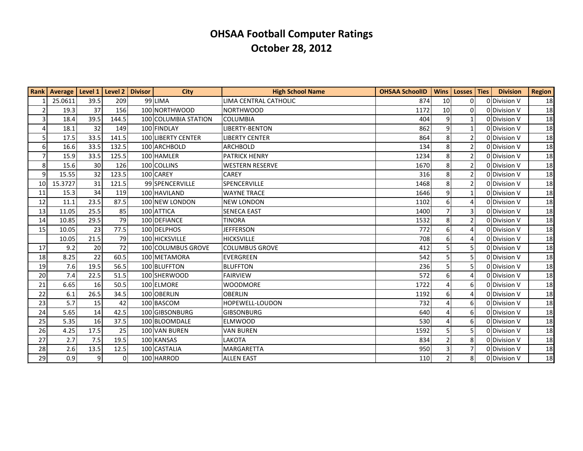|                | Rank   Average   Level 1   Level 2   Divisor |                |          | <b>City</b>          | <b>High School Name</b> | <b>OHSAA SchoolID</b> |                 | Wins   Losses   Ties | <b>Division</b> | <b>Region</b> |
|----------------|----------------------------------------------|----------------|----------|----------------------|-------------------------|-----------------------|-----------------|----------------------|-----------------|---------------|
|                | 25.0611                                      | 39.5           | 209      | 99 LIMA              | LIMA CENTRAL CATHOLIC   | 874                   | 10 <sup>1</sup> | 0                    | 0 Division V    | 18            |
| $\overline{2}$ | 19.3                                         | 37             | 156      | 100 NORTHWOOD        | <b>NORTHWOOD</b>        | 1172                  | 10              | $\Omega$             | 0 Division V    | 18            |
| 3              | 18.4                                         | 39.5           | 144.5    | 100 COLUMBIA STATION | <b>COLUMBIA</b>         | 404                   | 9               |                      | 0 Division V    | 18            |
| 4              | 18.1                                         | 32             | 149      | 100 FINDLAY          | <b>LIBERTY-BENTON</b>   | 862                   | 9               |                      | 0 Division V    | 18            |
| 5              | 17.5                                         | 33.5           | 141.5    | 100 LIBERTY CENTER   | <b>LIBERTY CENTER</b>   | 864                   | 8               | $\overline{2}$       | 0 Division V    | 18            |
| 6              | 16.6                                         | 33.5           | 132.5    | 100 ARCHBOLD         | <b>ARCHBOLD</b>         | 134                   | 8               | 2                    | 0 Division V    | 18            |
| 7              | 15.9                                         | 33.5           | 125.5    | 100 HAMLER           | <b>PATRICK HENRY</b>    | 1234                  | 8               | $\overline{2}$       | 0 Division V    | 18            |
| 8              | 15.6                                         | 30             | 126      | 100 COLLINS          | <b>WESTERN RESERVE</b>  | 1670                  | 8               | $\mathcal{P}$        | 0 Division V    | 18            |
| 9              | 15.55                                        | 32             | 123.5    | 100 CAREY            | CAREY                   | 316                   | 8               | $\overline{2}$       | 0 Division V    | 18            |
| 10             | 15.3727                                      | 31             | 121.5    | 99 SPENCERVILLE      | SPENCERVILLE            | 1468                  | 8               | 2                    | 0 Division V    | 18            |
| 11             | 15.3                                         | 34             | 119      | 100 HAVILAND         | <b>WAYNE TRACE</b>      | 1646                  | 9               |                      | 0 Division V    | 18            |
| 12             | 11.1                                         | 23.5           | 87.5     | 100 NEW LONDON       | <b>NEW LONDON</b>       | 1102                  | 6               | 4                    | 0 Division V    | 18            |
| 13             | 11.05                                        | 25.5           | 85       | 100 ATTICA           | <b>SENECA EAST</b>      | 1400                  | $\overline{7}$  | 3                    | 0 Division V    | 18            |
| 14             | 10.85                                        | 29.5           | 79       | 100 DEFIANCE         | <b>TINORA</b>           | 1532                  | 8               | $\overline{2}$       | 0 Division V    | 18            |
| 15             | 10.05                                        | 23             | 77.5     | 100 DELPHOS          | <b>JEFFERSON</b>        | 772                   | 6               | 4                    | 0 Division V    | 18            |
|                | 10.05                                        | 21.5           | 79       | 100 HICKSVILLE       | <b>HICKSVILLE</b>       | 708                   | 6               | 4                    | 0 Division V    | 18            |
| 17             | 9.2                                          | 20             | 72       | 100 COLUMBUS GROVE   | <b>COLUMBUS GROVE</b>   | 412                   | 5               | 5                    | 0 Division V    | 18            |
| 18             | 8.25                                         | 22             | 60.5     | 100 METAMORA         | <b>EVERGREEN</b>        | 542                   |                 | 5.                   | 0 Division V    | 18            |
| 19             | 7.6                                          | 19.5           | 56.5     | 100 BLUFFTON         | <b>BLUFFTON</b>         | 236                   | 5               | 5                    | 0 Division V    | 18            |
| 20             | 7.4                                          | 22.5           | 51.5     | 100 SHERWOOD         | <b>FAIRVIEW</b>         | 572                   | 6               | 4                    | 0 Division V    | 18            |
| 21             | 6.65                                         | 16             | 50.5     | 100 ELMORE           | <b>WOODMORE</b>         | 1722                  |                 | 6                    | 0 Division V    | 18            |
| 22             | 6.1                                          | 26.5           | 34.5     | 100 OBERLIN          | <b>OBERLIN</b>          | 1192                  | 6               | 4                    | 0 Division V    | 18            |
| 23             | 5.7                                          | 15             | 42       | 100 BASCOM           | HOPEWELL-LOUDON         | 732                   |                 | 6                    | 0 Division V    | 18            |
| 24             | 5.65                                         | 14             | 42.5     | 100 GIBSONBURG       | <b>GIBSONBURG</b>       | 640                   |                 | 6                    | 0 Division V    | 18            |
| 25             | 5.35                                         | 16             | 37.5     | 100 BLOOMDALE        | <b>ELMWOOD</b>          | 530                   |                 | 6                    | 0 Division V    | 18            |
| 26             | 4.25                                         | 17.5           | 25       | 100 VAN BUREN        | <b>VAN BUREN</b>        | 1592                  | 5               | 5                    | 0 Division V    | 18            |
| 27             | 2.7                                          | 7.5            | 19.5     | 100 KANSAS           | LAKOTA                  | 834                   | $\overline{2}$  | 8                    | 0 Division V    | 18            |
| 28             | 2.6                                          | 13.5           | 12.5     | 100 CASTALIA         | <b>MARGARETTA</b>       | 950                   | 3               | 7                    | 0 Division V    | 18            |
| 29             | 0.9                                          | $\overline{9}$ | $\Omega$ | 100 HARROD           | <b>ALLEN EAST</b>       | 110                   | $\overline{2}$  | 8 <sup>1</sup>       | 0 Division V    | 18            |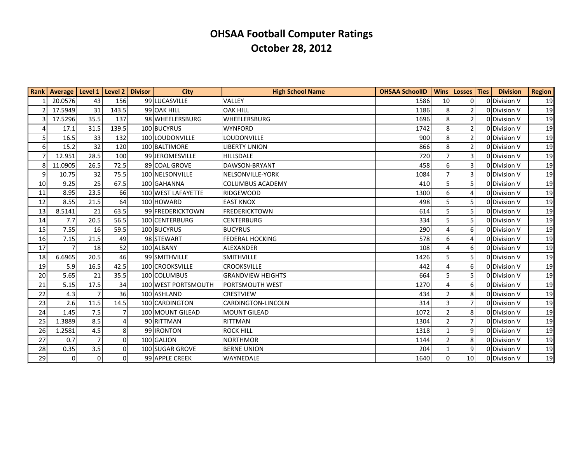|    | Rank   Average   Level 1   Level 2   Divisor |                |                | <b>City</b>         | <b>High School Name</b>  | <b>OHSAA SchoolID</b> |                | Wins   Losses   Ties | <b>Division</b> | <b>Region</b> |
|----|----------------------------------------------|----------------|----------------|---------------------|--------------------------|-----------------------|----------------|----------------------|-----------------|---------------|
|    | 20.0576                                      | 43             | 156            | 99 LUCASVILLE       | VALLEY                   | 1586                  | 10             | 0                    | 0 Division V    | 19            |
|    | 17.5949                                      | 31             | 143.5          | 99 OAK HILL         | <b>OAK HILL</b>          | 1186                  | 8 <sup>1</sup> | $\overline{2}$       | 0 Division V    | 19            |
|    | 17.5296                                      | 35.5           | 137            | 98 WHEELERSBURG     | WHEELERSBURG             | 1696                  | 8              | $\overline{2}$       | 0 Division V    | 19            |
|    | 17.1                                         | 31.5           | 139.5          | 100 BUCYRUS         | <b>WYNFORD</b>           | 1742                  | 8              | $\mathcal{P}$        | 0 Division V    | 19            |
| 5  | 16.5                                         | 33             | 132            | 100 LOUDONVILLE     | LOUDONVILLE              | 900                   | 8              | $\overline{2}$       | 0 Division V    | 19            |
| 6  | 15.2                                         | 32             | 120            | 100 BALTIMORE       | <b>LIBERTY UNION</b>     | 866                   | 8              | 2                    | 0 Division V    | 19            |
| 7  | 12.951                                       | 28.5           | 100            | 99 JEROMESVILLE     | <b>HILLSDALE</b>         | 720                   | $\overline{7}$ | 3                    | 0 Division V    | 19            |
| 8  | 11.0905                                      | 26.5           | 72.5           | 89 COAL GROVE       | DAWSON-BRYANT            | 458                   | 6              | 3                    | 0 Division V    | 19            |
| 9  | 10.75                                        | 32             | 75.5           | 100 NELSONVILLE     | NELSONVILLE-YORK         | 1084                  | $\overline{7}$ | 3                    | 0 Division V    | 19            |
| 10 | 9.25                                         | 25             | 67.5           | 100 GAHANNA         | <b>COLUMBUS ACADEMY</b>  | 410                   |                | 5.                   | 0 Division V    | 19            |
| 11 | 8.95                                         | 23.5           | 66             | 100 WEST LAFAYETTE  | <b>RIDGEWOOD</b>         | 1300                  | 6              | 4                    | 0 Division V    | 19            |
| 12 | 8.55                                         | 21.5           | 64             | 100 HOWARD          | <b>EAST KNOX</b>         | 498                   |                | 5.                   | 0 Division V    | 19            |
| 13 | 8.5141                                       | 21             | 63.5           | 99 FREDERICKTOWN    | <b>FREDERICKTOWN</b>     | 614                   | 5              | 5.                   | 0 Division V    | 19            |
| 14 | 7.7                                          | 20.5           | 56.5           | 100 CENTERBURG      | <b>CENTERBURG</b>        | 334                   | 5              | 5                    | 0 Division V    | 19            |
| 15 | 7.55                                         | 16             | 59.5           | 100 BUCYRUS         | <b>BUCYRUS</b>           | 290                   | 4              | 6                    | 0 Division V    | 19            |
| 16 | 7.15                                         | 21.5           | 49             | 98 STEWART          | <b>FEDERAL HOCKING</b>   | 578                   | 6              | 4                    | 0 Division V    | 19            |
| 17 | $\overline{7}$                               | 18             | 52             | 100 ALBANY          | <b>ALEXANDER</b>         | 108                   |                | 6                    | 0 Division V    | 19            |
| 18 | 6.6965                                       | 20.5           | 46             | 99 SMITHVILLE       | <b>SMITHVILLE</b>        | 1426                  |                | 5                    | O Division V    | 19            |
| 19 | 5.9                                          | 16.5           | 42.5           | 100 CROOKSVILLE     | <b>CROOKSVILLE</b>       | 442                   |                | 6                    | 0 Division V    | 19            |
| 20 | 5.65                                         | 21             | 35.5           | 100 COLUMBUS        | <b>GRANDVIEW HEIGHTS</b> | 664                   | 5              | 5                    | 0 Division V    | 19            |
| 21 | 5.15                                         | 17.5           | 34             | 100 WEST PORTSMOUTH | PORTSMOUTH WEST          | 1270                  |                | 6                    | 0 Division V    | 19            |
| 22 | 4.3                                          | $\overline{7}$ | 36             | 100 ASHLAND         | <b>CRESTVIEW</b>         | 434                   |                | 8                    | 0 Division V    | 19            |
| 23 | 2.6                                          | 11.5           | 14.5           | 100 CARDINGTON      | CARDINGTON-LINCOLN       | 314                   | 3              | $\overline{7}$       | 0 Division V    | 19            |
| 24 | 1.45                                         | 7.5            | $\overline{7}$ | 100 MOUNT GILEAD    | <b>MOUNT GILEAD</b>      | 1072                  | $\overline{2}$ | 8                    | 0 Division V    | 19            |
| 25 | 1.3889                                       | 8.5            | Δ              | 90 RITTMAN          | <b>RITTMAN</b>           | 1304                  | $\overline{2}$ | $\overline{7}$       | 0 Division V    | 19            |
| 26 | 1.2581                                       | 4.5            | 8 <sup>1</sup> | 99 <b>IRONTON</b>   | <b>ROCK HILL</b>         | 1318                  | 1              | 9                    | 0 Division V    | 19            |
| 27 | 0.7                                          | $\overline{7}$ | $\Omega$       | 100 GALION          | <b>NORTHMOR</b>          | 1144                  | $\overline{2}$ | 8                    | O Division V    | 19            |
| 28 | 0.35                                         | 3.5            | 0              | 100 SUGAR GROVE     | <b>BERNE UNION</b>       | 204                   |                | 9                    | 0 Division V    | 19            |
| 29 | $\mathbf{0}$                                 | $\mathbf 0$    | $\Omega$       | 99 APPLE CREEK      | WAYNEDALE                | 1640                  | $\Omega$       | 10                   | 0 Division V    | 19            |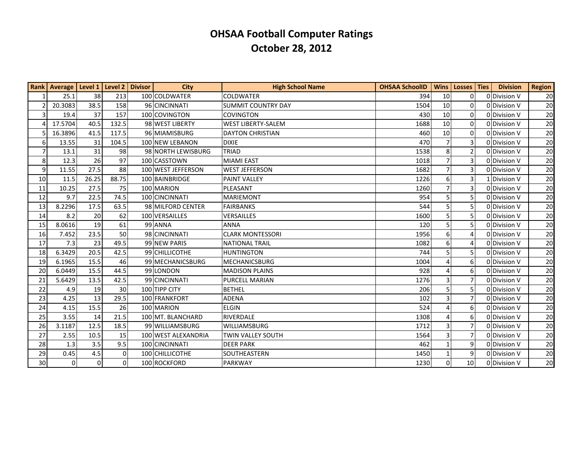|                | Rank   Average   Level 1   Level 2 |          |                 | <b>Divisor</b> | <b>City</b>         | <b>High School Name</b>   | <b>OHSAA SchoolID</b> | <b>Wins</b>                 | Losses Ties     | <b>Division</b> | <b>Region</b> |
|----------------|------------------------------------|----------|-----------------|----------------|---------------------|---------------------------|-----------------------|-----------------------------|-----------------|-----------------|---------------|
|                | 25.1                               | 38       | 213             |                | 100 COLDWATER       | <b>COLDWATER</b>          | 394                   | 10                          | $\overline{0}$  | 0 Division V    | 20            |
| $\overline{2}$ | 20.3083                            | 38.5     | 158             |                | 96 CINCINNATI       | <b>SUMMIT COUNTRY DAY</b> | 1504                  | 10                          | $\Omega$        | 0 Division V    | 20            |
| $\overline{3}$ | 19.4                               | 37       | 157             |                | 100 COVINGTON       | <b>COVINGTON</b>          | 430                   | 10                          | $\Omega$        | 0 Division V    | 20            |
| 4              | 17.5704                            | 40.5     | 132.5           |                | 98 WEST LIBERTY     | <b>WEST LIBERTY-SALEM</b> | 1688                  | 10                          | $\Omega$        | 0 Division V    | 20            |
|                | 16.3896                            | 41.5     | 117.5           |                | 96 MIAMISBURG       | <b>DAYTON CHRISTIAN</b>   | 460                   | 10                          | $\Omega$        | 0 Division V    | <b>20</b>     |
| 6              | 13.55                              | 31       | 104.5           |                | 100 NEW LEBANON     | DIXIE                     | 470                   |                             | 3               | 0 Division V    | 20            |
| $\overline{7}$ | 13.1                               | 31       | 98              |                | 98 NORTH LEWISBURG  | TRIAD                     | 1538                  | 8                           | 2 <sup>1</sup>  | 0 Division V    | 20            |
| 8 <sup>°</sup> | 12.3                               | 26       | 97              |                | 100 CASSTOWN        | <b>MIAMI EAST</b>         | 1018                  | $\overline{7}$              | 3               | 0 Division V    | 20            |
| 9              | 11.55                              | 27.5     | 88              |                | 100 WEST JEFFERSON  | <b>WEST JEFFERSON</b>     | 1682                  |                             | 3               | 0 Division V    | 20            |
| 10             | 11.5                               | 26.25    | 88.75           |                | 100 BAINBRIDGE      | <b>PAINT VALLEY</b>       | 1226                  | 6                           | 3               | 1 Division V    | 20            |
| 11             | 10.25                              | 27.5     | 75              |                | 100 MARION          | PLEASANT                  | 1260                  | $\overline{7}$              | 3               | 0 Division V    | <b>20</b>     |
| 12             | 9.7                                | 22.5     | 74.5            |                | 100 CINCINNATI      | <b>MARIEMONT</b>          | 954                   | 5                           | 5               | 0 Division V    | 20            |
| 13             | 8.2296                             | 17.5     | 63.5            |                | 98 MILFORD CENTER   | <b>FAIRBANKS</b>          | 544                   | 5                           | 5               | 0 Division V    | 20            |
| 14             | 8.2                                | 20       | 62              |                | 100 VERSAILLES      | VERSAILLES                | 1600                  | 5                           | 5               | 0 Division V    | 20            |
| 15             | 8.0616                             | 19       | 61              |                | 99 ANNA             | <b>ANNA</b>               | 120                   | 5                           | 5               | 0 Division V    | 20            |
| 16             | 7.452                              | 23.5     | 50              |                | 98 CINCINNATI       | <b>CLARK MONTESSORI</b>   | 1956                  | 6                           | 4               | 0 Division V    | 20            |
| 17             | 7.3                                | 23       | 49.5            |                | 99 NEW PARIS        | <b>NATIONAL TRAIL</b>     | 1082                  | 6                           | 4               | 0 Division V    | 20            |
| 18             | 6.3429                             | 20.5     | 42.5            |                | 99 CHILLICOTHE      | HUNTINGTON                | 744                   | 5                           | 5               | 0 Division V    | 20            |
| 19             | 6.1965                             | 15.5     | 46              |                | 99 MECHANICSBURG    | <b>MECHANICSBURG</b>      | 1004                  | $\boldsymbol{\vartriangle}$ | 6               | 0 Division V    | 20            |
| 20             | 6.0449                             | 15.5     | 44.5            |                | 99 LONDON           | <b>MADISON PLAINS</b>     | 928                   | $\Delta$                    | 6               | 0 Division V    | 20            |
| 21             | 5.6429                             | 13.5     | 42.5            |                | 99 CINCINNATI       | <b>PURCELL MARIAN</b>     | 1276                  | 3                           | $\overline{7}$  | 0 Division V    | 20            |
| 22             | 4.9                                | 19       | 30 <sup>1</sup> |                | 100 TIPP CITY       | <b>BETHEL</b>             | 206                   | 5                           | 5               | 0 Division V    | 20            |
| 23             | 4.25                               | 13       | 29.5            |                | 100 FRANKFORT       | <b>ADENA</b>              | 102                   | $\overline{3}$              | $\overline{7}$  | 0 Division V    | 20            |
| 24             | 4.15                               | 15.5     | 26              |                | 100 MARION          | <b>ELGIN</b>              | 524                   | 4                           | $6 \mid$        | 0 Division V    | 20            |
| 25             | 3.55                               | 14       | 21.5            |                | 100 MT. BLANCHARD   | RIVERDALE                 | 1308                  | $\Delta$                    | 6               | 0 Division V    | 20            |
| 26             | 3.1187                             | 12.5     | 18.5            |                | 99 WILLIAMSBURG     | <b>WILLIAMSBURG</b>       | 1712                  | 3                           | $\overline{7}$  | 0 Division V    | 20            |
| 27             | 2.55                               | 10.5     | 15              |                | 100 WEST ALEXANDRIA | TWIN VALLEY SOUTH         | 1564                  | 3                           | 7               | 0 Division V    | 20            |
| 28             | 1.3                                | 3.5      | 9.5             |                | 100 CINCINNATI      | <b>DEER PARK</b>          | 462                   | $\mathbf{1}$                | 9               | 0 Division V    | <b>20</b>     |
| 29             | 0.45                               | 4.5      | $\overline{0}$  |                | 100 CHILLICOTHE     | SOUTHEASTERN              | 1450                  |                             | 9               | 0 Division V    | 20            |
| 30             | $\Omega$                           | $\Omega$ | $\Omega$        |                | 100 ROCKFORD        | <b>PARKWAY</b>            | 1230                  | $\Omega$                    | 10 <sup>1</sup> | 0 Division V    | 20            |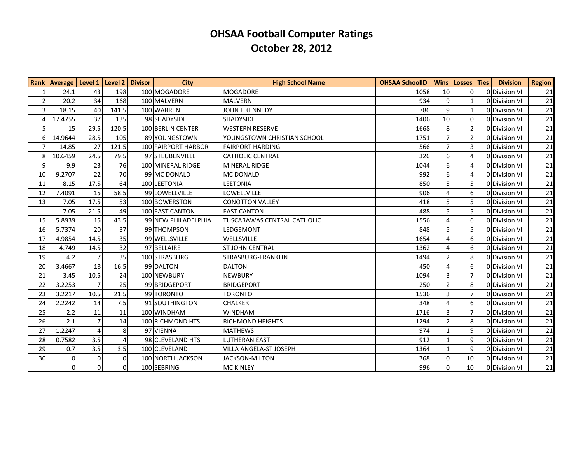|                | Rank   Average   Level 1   Level 2   Divisor |                             |          | <b>City</b>         | <b>High School Name</b>            | <b>OHSAA SchoolID</b> |                          | Wins   Losses   Ties | <b>Division</b> | <b>Region</b> |
|----------------|----------------------------------------------|-----------------------------|----------|---------------------|------------------------------------|-----------------------|--------------------------|----------------------|-----------------|---------------|
| 1              | 24.1                                         | 43                          | 198      | 100 MOGADORE        | <b>MOGADORE</b>                    | 1058                  | 10                       | 0                    | 0 Division VI   | 21            |
| 2              | 20.2                                         | 34                          | 168      | 100 MALVERN         | <b>MALVERN</b>                     | 934                   | $\boldsymbol{9}$         | 1                    | 0 Division VI   | 21            |
| $\overline{3}$ | 18.15                                        | 40                          | 141.5    | 100 WARREN          | <b>JOHN F KENNEDY</b>              | 786                   | 9                        | $\mathbf{1}$         | 0 Division VI   | 21            |
| 4              | 17.4755                                      | 37                          | 135      | 98 SHADYSIDE        | <b>SHADYSIDE</b>                   | 1406                  | 10                       | 0                    | 0 Division VI   | 21            |
| 5 <sub>l</sub> | 15                                           | 29.5                        | 120.5    | 100 BERLIN CENTER   | <b>WESTERN RESERVE</b>             | 1668                  | 8                        | 2                    | 0 Division VI   | 21            |
| 6              | 14.9644                                      | 28.5                        | 105      | 89 YOUNGSTOWN       | YOUNGSTOWN CHRISTIAN SCHOOL        | 1751                  | $\overline{7}$           | $\overline{2}$       | 0 Division VI   | 21            |
| $\overline{7}$ | 14.85                                        | 27                          | 121.5    | 100 FAIRPORT HARBOR | <b>FAIRPORT HARDING</b>            | 566                   | $\overline{7}$           | 3                    | 0 Division VI   | 21            |
| 8              | 10.6459                                      | 24.5                        | 79.5     | 97 STEUBENVILLE     | <b>CATHOLIC CENTRAL</b>            | 326                   | 6                        | 4                    | 0 Division VI   | 21            |
| $\overline{9}$ | 9.9                                          | 23                          | 76       | 100 MINERAL RIDGE   | <b>MINERAL RIDGE</b>               | 1044                  | 6                        | 4                    | ODDivision VI   | 21            |
| 10             | 9.2707                                       | 22                          | 70       | 99 MC DONALD        | <b>MC DONALD</b>                   | 992                   | 6                        | 4                    | O Division VI   | 21            |
| 11             | 8.15                                         | 17.5                        | 64       | 100 LEETONIA        | <b>LEETONIA</b>                    | 850                   | 5                        | 5                    | 0 Division VI   | 21            |
| 12             | 7.4091                                       | 15                          | 58.5     | 99 LOWELLVILLE      | LOWELLVILLE                        | 906                   | $\Delta$                 | 6                    | 0 Division VI   | 21            |
| 13             | 7.05                                         | 17.5                        | 53       | 100 BOWERSTON       | <b>CONOTTON VALLEY</b>             | 418                   | 5                        | 5                    | 0 Division VI   | 21            |
|                | 7.05                                         | 21.5                        | 49       | 100 EAST CANTON     | <b>EAST CANTON</b>                 | 488                   | 5                        | 5                    | 0 Division VI   | 21            |
| 15             | 5.8939                                       | 15                          | 43.5     | 99 NEW PHILADELPHIA | <b>TUSCARAWAS CENTRAL CATHOLIC</b> | 1556                  | Δ                        | 6                    | 0 Division VI   | 21            |
| 16             | 5.7374                                       | 20                          | 37       | 99 THOMPSON         | LEDGEMONT                          | 848                   | 5                        | 5                    | 0 Division VI   | 21            |
| 17             | 4.9854                                       | 14.5                        | 35       | 99 WELLSVILLE       | WELLSVILLE                         | 1654                  | 4                        | 6                    | 0 Division VI   | 21            |
| 18             | 4.749                                        | 14.5                        | 32       | 97 BELLAIRE         | <b>ST JOHN CENTRAL</b>             | 1362                  | 4                        | 6                    | 0 Division VI   | 21            |
| 19             | 4.2                                          | 7                           | 35       | 100 STRASBURG       | STRASBURG-FRANKLIN                 | 1494                  | $\overline{2}$           | 8                    | 0 Division VI   | 21            |
| 20             | 3.4667                                       | 18                          | 16.5     | 99 DALTON           | <b>DALTON</b>                      | 450                   |                          | 6                    | 0 Division VI   | 21            |
| 21             | 3.45                                         | 10.5                        | 24       | 100 NEWBURY         | <b>NEWBURY</b>                     | 1094                  | 3                        | 7                    | ODDivision VI   | 21            |
| 22             | 3.2253                                       | $\overline{7}$              | 25       | 99 BRIDGEPORT       | <b>BRIDGEPORT</b>                  | 250                   | $\overline{\phantom{a}}$ | 8                    | 0 Division VI   | 21            |
| 23             | 3.2217                                       | 10.5                        | 21.5     | 99 TORONTO          | <b>TORONTO</b>                     | 1536                  | 3                        | 7                    | 0 Division VI   | 21            |
| 24             | 2.2242                                       | 14                          | 7.5      | 91 SOUTHINGTON      | <b>CHALKER</b>                     | 348                   | 4                        | 6                    | 0 Division VI   | 21            |
| 25             | 2.2                                          | 11                          | 11       | 100 WINDHAM         | <b>WINDHAM</b>                     | 1716                  | $\overline{3}$           | 7                    | 0 Division VI   | 21            |
| 26             | 2.1                                          |                             | 14       | 100 RICHMOND HTS    | <b>RICHMOND HEIGHTS</b>            | 1294                  | $\overline{2}$           | 8                    | 0 Division VI   | 21            |
| 27             | 1.2247                                       | $\boldsymbol{\vartriangle}$ | 8        | 97 VIENNA           | <b>MATHEWS</b>                     | 974                   | $\mathbf{1}$             | 9                    | 0 Division VI   | 21            |
| 28             | 0.7582                                       | 3.5                         |          | 98 CLEVELAND HTS    | <b>LUTHERAN EAST</b>               | 912                   | $\mathbf{1}$             | 9                    | 0 Division VI   | 21            |
| 29             | 0.7                                          | 3.5                         | 3.5      | 100 CLEVELAND       | <b>VILLA ANGELA-ST JOSEPH</b>      | 1364                  | $\mathbf{1}$             | 9                    | 0 Division VI   | 21            |
| 30             | 0                                            | 0                           | $\Omega$ | 100 NORTH JACKSON   | JACKSON-MILTON                     | 768                   | 0                        | 10                   | 0 Division VI   | 21            |
|                | $\overline{0}$                               | $\Omega$                    | $\Omega$ | 100 SEBRING         | <b>MC KINLEY</b>                   | 996                   | $\Omega$                 | 10                   | 0 Division VI   | 21            |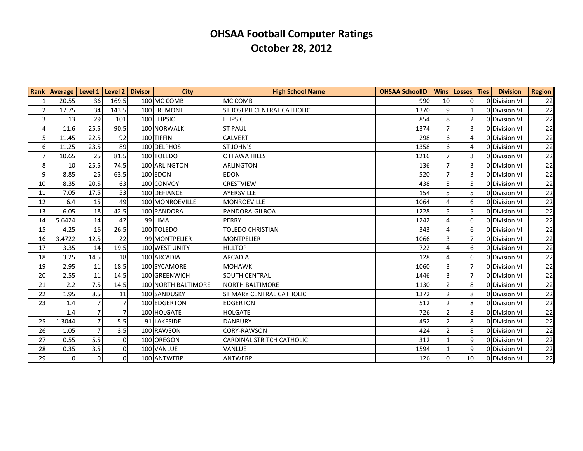|                | Rank   Average   Level 1 |                | Level 2   Divisor | City                | <b>High School Name</b>          | <b>OHSAA SchoolID</b> | <b>Wins</b> | Losses Ties     | <b>Division</b> | <b>Region</b> |
|----------------|--------------------------|----------------|-------------------|---------------------|----------------------------------|-----------------------|-------------|-----------------|-----------------|---------------|
| 1              | 20.55                    | 36             | 169.5             | 100 MC COMB         | MC COMB                          | 990                   | 10          | $\Omega$        | 0 Division VI   | 22            |
| $\overline{2}$ | 17.75                    | 34             | 143.5             | 100 FREMONT         | ST JOSEPH CENTRAL CATHOLIC       | 1370                  | 9           | $\mathbf{1}$    | 0 Division VI   | 22            |
| $\overline{3}$ | 13                       | 29             | 101               | 100 LEIPSIC         | <b>LEIPSIC</b>                   | 854                   | 8           | $\overline{2}$  | 0 Division VI   | 22            |
| $\overline{4}$ | 11.6                     | 25.5           | 90.5              | 100 NORWALK         | <b>ST PAUL</b>                   | 1374                  |             | 3               | 0 Division VI   | 22            |
| 5 <sup>1</sup> | 11.45                    | 22.5           | 92                | 100 TIFFIN          | <b>CALVERT</b>                   | 298                   | 6           |                 | 0 Division VI   | 22            |
| 6              | 11.25                    | 23.5           | 89                | 100 DELPHOS         | ST JOHN'S                        | 1358                  | 6           | $\Delta$        | 0 Division VI   | 22            |
| $\overline{7}$ | 10.65                    | 25             | 81.5              | 100 TOLEDO          | <b>OTTAWA HILLS</b>              | 1216                  |             | 3               | 0 Division VI   | 22            |
| 8              | 10                       | 25.5           | 74.5              | 100 ARLINGTON       | <b>ARLINGTON</b>                 | 136                   |             | 3               | 0 Division VI   | 22            |
| $\vert$ 9      | 8.85                     | 25             | 63.5              | 100 EDON            | <b>EDON</b>                      | 520                   | 7           | 3               | 0 Division VI   | 22            |
| 10             | 8.35                     | 20.5           | 63                | 100 CONVOY          | <b>CRESTVIEW</b>                 | 438                   | 5           | 5               | 0 Division VI   | 22            |
| 11             | 7.05                     | 17.5           | 53                | 100 DEFIANCE        | AYERSVILLE                       | 154                   | 5           | 5               | 0 Division VI   | 22            |
| 12             | 6.4                      | 15             | 49                | 100 MONROEVILLE     | <b>MONROEVILLE</b>               | 1064                  |             | 6               | 0 Division VI   | 22            |
| 13             | 6.05                     | 18             | 42.5              | 100 PANDORA         | PANDORA-GILBOA                   | 1228                  | 5           | 5               | 0 Division VI   | 22            |
| 14             | 5.6424                   | 14             | 42                | 99 LIMA             | PERRY                            | 1242                  |             | 6               | 0 Division VI   | 22            |
| 15             | 4.25                     | 16             | 26.5              | 100 TOLEDO          | <b>TOLEDO CHRISTIAN</b>          | 343                   |             | 6               | 0 Division VI   | 22            |
| 16             | 3.4722                   | 12.5           | 22                | 99 MONTPELIER       | <b>MONTPELIER</b>                | 1066                  |             | 7               | 0 Division VI   | 22            |
| 17             | 3.35                     | 14             | 19.5              | 100 WEST UNITY      | <b>HILLTOP</b>                   | 722                   | $\Delta$    | 6               | 0 Division VI   | 22            |
| 18             | 3.25                     | 14.5           | 18                | 100 ARCADIA         | <b>ARCADIA</b>                   | 128                   |             | 6               | 0 Division VI   | 22            |
| 19             | 2.95                     | 11             | 18.5              | 100 SYCAMORE        | <b>MOHAWK</b>                    | 1060                  | 3           | $\overline{7}$  | 0 Division VI   | 22            |
| 20             | 2.55                     | 11             | 14.5              | 100 GREENWICH       | <b>SOUTH CENTRAL</b>             | 1446                  |             | 7               | 0 Division VI   | 22            |
| 21             | 2.2                      | 7.5            | 14.5              | 100 NORTH BALTIMORE | <b>NORTH BALTIMORE</b>           | 1130                  |             | 8               | 0 Division VI   | 22            |
| 22             | 1.95                     | 8.5            | 11                | 100 SANDUSKY        | ST MARY CENTRAL CATHOLIC         | 1372                  |             | 8               | 0 Division VI   | 22            |
| 23             | 1.4                      | $\overline{7}$ |                   | 100 EDGERTON        | <b>EDGERTON</b>                  | 512                   |             | 8               | 0 Division VI   | 22            |
|                | 1.4                      | $\overline{7}$ |                   | 100 HOLGATE         | <b>HOLGATE</b>                   | 726                   |             | 8               | 0 Division VI   | 22            |
| 25             | 1.3044                   | $\overline{7}$ | 5.5               | 91 LAKESIDE         | <b>DANBURY</b>                   | 452                   |             | 8               | 0 Division VI   | 22            |
| 26             | 1.05                     | 7              | 3.5               | 100 RAWSON          | CORY-RAWSON                      | 424                   |             | 8               | 0 Division VI   | 22            |
| 27             | 0.55                     | 5.5            | $\Omega$          | 100 OREGON          | <b>CARDINAL STRITCH CATHOLIC</b> | 312                   |             | 9               | 0 Division VI   | 22            |
| 28             | 0.35                     | 3.5            | $\Omega$          | 100 VANLUE          | VANLUE                           | 1594                  |             | 9               | 0 Division VI   | 22            |
| 29             | $\mathbf 0$              | $\overline{0}$ | $\Omega$          | 100 ANTWERP         | <b>ANTWERP</b>                   | 126                   | $\Omega$    | 10 <sup>1</sup> | 0 Division VI   | 22            |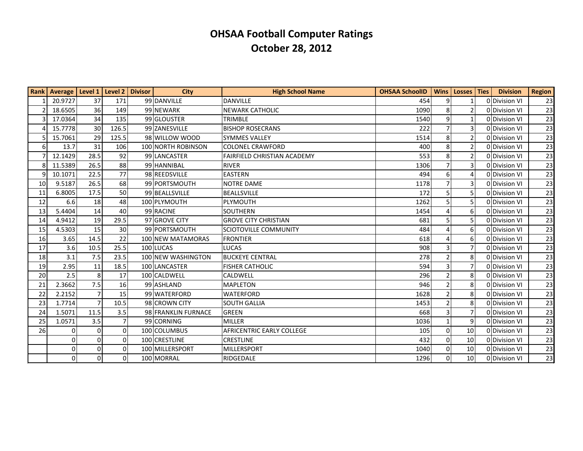|                  | Rank   Average   Level 1   Level 2   Divisor |                |                 | <b>City</b>         | <b>High School Name</b>            | <b>OHSAA SchoolID</b> |                 | Wins   Losses   Ties | <b>Division</b> | <b>Region</b> |
|------------------|----------------------------------------------|----------------|-----------------|---------------------|------------------------------------|-----------------------|-----------------|----------------------|-----------------|---------------|
|                  | 20.9727                                      | 37             | 171             | 99 DANVILLE         | <b>DANVILLE</b>                    | 454                   | 9 <sup>1</sup>  |                      | 0 Division VI   | 23            |
|                  | 18.6505                                      | 36             | 149             | 99 NEWARK           | <b>NEWARK CATHOLIC</b>             | 1090                  | 8 <sup>1</sup>  | $\mathfrak{p}$       | 0 Division VI   | 23            |
|                  | 17.0364                                      | 34             | 135             | 99 GLOUSTER         | <b>TRIMBLE</b>                     | 1540                  | $\vert 9 \vert$ |                      | 0 Division VI   | 23            |
|                  | 15.7778                                      | 30             | 126.5           | 99 ZANESVILLE       | <b>BISHOP ROSECRANS</b>            | 222                   | 7               | 3                    | 0 Division VI   | 23            |
|                  | 15.7061                                      | 29             | 125.5           | 98 WILLOW WOOD      | <b>SYMMES VALLEY</b>               | 1514                  | 8 <sup>1</sup>  | $\overline{2}$       | 0 Division VI   | 23            |
| $6 \overline{6}$ | 13.7                                         | 31             | 106             | 100 NORTH ROBINSON  | <b>COLONEL CRAWFORD</b>            | 400                   | 8 <sup>1</sup>  | 2                    | 0 Division VI   | 23            |
|                  | 12.1429                                      | 28.5           | 92              | 99 LANCASTER        | <b>FAIRFIELD CHRISTIAN ACADEMY</b> | 553                   | 8               | $\overline{2}$       | 0 Division VI   | 23            |
|                  | 11.5389                                      | 26.5           | 88              | 99 HANNIBAL         | <b>RIVER</b>                       | 1306                  | $\overline{7}$  | 3                    | 0 Division VI   | 23            |
| q                | 10.1071                                      | 22.5           | 77              | 98 REEDSVILLE       | <b>EASTERN</b>                     | 494                   | 6 <sup>1</sup>  |                      | 0 Division VI   | 23            |
| 10               | 9.5187                                       | 26.5           | 68              | 99 PORTSMOUTH       | <b>NOTRE DAME</b>                  | 1178                  | $\overline{7}$  | 3                    | 0 Division VI   | 23            |
| 11               | 6.8005                                       | 17.5           | 50              | 99 BEALLSVILLE      | <b>BEALLSVILLE</b>                 | 172                   | 5               | 5                    | 0 Division VI   | 23            |
| 12               | 6.6                                          | 18             | 48              | 100 PLYMOUTH        | PLYMOUTH                           | 1262                  |                 | 5.                   | 0 Division VI   | 23            |
| 13               | 5.4404                                       | 14             | 40              | 99 RACINE           | <b>SOUTHERN</b>                    | 1454                  |                 | 6                    | 0 Division VI   | 23            |
| 14               | 4.9412                                       | 19             | 29.5            | 97 GROVE CITY       | <b>GROVE CITY CHRISTIAN</b>        | 681                   |                 | 5.                   | 0 Division VI   | 23            |
| 15               | 4.5303                                       | 15             | 30 <sup>°</sup> | 99 PORTSMOUTH       | <b>SCIOTOVILLE COMMUNITY</b>       | 484                   |                 | 6                    | 0 Division VI   | 23            |
| 16               | 3.65                                         | 14.5           | 22              | 100 NEW MATAMORAS   | <b>FRONTIER</b>                    | 618                   |                 | 6                    | 0 Division VI   | 23            |
| 17               | 3.6                                          | 10.5           | 25.5            | 100 LUCAS           | <b>LUCAS</b>                       | 908                   | $\overline{3}$  | 7                    | 0 Division VI   | 23            |
| 18               | 3.1                                          | 7.5            | 23.5            | 100 NEW WASHINGTON  | BUCKEYE CENTRAL                    | 278                   |                 | 8                    | 0 Division VI   | 23            |
| 19               | 2.95                                         | 11             | 18.5            | 100 LANCASTER       | <b>FISHER CATHOLIC</b>             | 594                   | $\overline{3}$  | $\overline{7}$       | 0 Division VI   | 23            |
| 20               | 2.5                                          | 8              | 17              | 100 CALDWELL        | CALDWELL                           | 296                   | $\overline{2}$  | 8                    | 0 Division VI   | 23            |
| 21               | 2.3662                                       | 7.5            | 16              | 99 ASHLAND          | <b>MAPLETON</b>                    | 946                   |                 | 8                    | 0 Division VI   | 23            |
| 22               | 2.2152                                       | $\overline{7}$ | 15              | 99 WATERFORD        | <b>WATERFORD</b>                   | 1628                  |                 | 8                    | 0 Division VI   | 23            |
| 23               | 1.7714                                       | $\overline{7}$ | 10.5            | 98 CROWN CITY       | <b>SOUTH GALLIA</b>                | 1453                  | $\overline{2}$  | 8                    | 0 Division VI   | 23            |
| 24               | 1.5071                                       | 11.5           | 3.5             | 98 FRANKLIN FURNACE | <b>GREEN</b>                       | 668                   | 3               | 7                    | 0 Division VI   | 23            |
| 25               | 1.0571                                       | 3.5            | $\overline{7}$  | 99 CORNING          | <b>MILLER</b>                      | 1036                  | $\mathbf{1}$    | 9                    | 0 Division VI   | 23            |
| 26               | $\mathbf{0}$                                 | $\pmb{0}$      | $\Omega$        | 100 COLUMBUS        | <b>AFRICENTRIC EARLY COLLEGE</b>   | 105                   | $\Omega$        | 10                   | 0 Division VI   | 23            |
|                  | $\mathbf{0}$                                 | $\mathbf 0$    | $\Omega$        | 100 CRESTLINE       | <b>CRESTLINE</b>                   | 432                   | $\Omega$        | 10                   | 0 Division VI   | 23            |
|                  | $\mathbf{0}$                                 | 0              | $\Omega$        | 100 MILLERSPORT     | <b>MILLERSPORT</b>                 | 1040                  | $\overline{0}$  | 10                   | 0 Division VI   | 23            |
|                  | $\mathbf 0$                                  | $\Omega$       | $\Omega$        | 100 MORRAL          | RIDGEDALE                          | 1296                  | $\Omega$        | 10                   | 0 Division VI   | 23            |